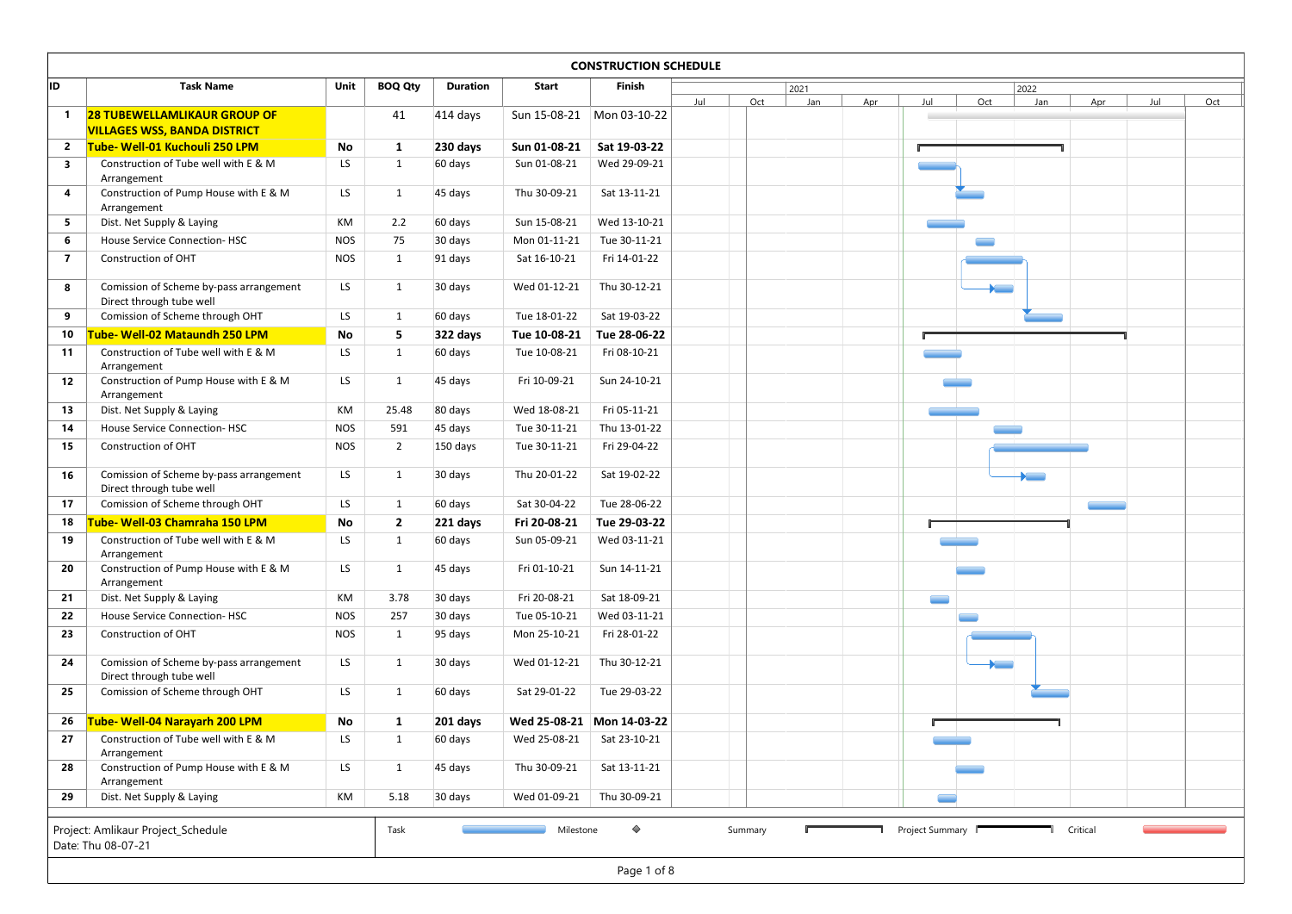| ID.                     | <b>Task Name</b>                                                           | Unit       | <b>BOQ Qty</b> | <b>Duration</b> | Start        | <b>CONSTRUCTION SCHEDULE</b><br>Finish |     |     |             |     |     |                                   |             |     |     |     |
|-------------------------|----------------------------------------------------------------------------|------------|----------------|-----------------|--------------|----------------------------------------|-----|-----|-------------|-----|-----|-----------------------------------|-------------|-----|-----|-----|
|                         |                                                                            |            |                |                 |              |                                        | Jul | Oct | 2021<br>Jan | Apr | Jul | Oct                               | 2022<br>Jan | Apr | Jul | Oct |
| $\mathbf{1}$            | <b>28 TUBEWELLAMLIKAUR GROUP OF</b><br><b>VILLAGES WSS, BANDA DISTRICT</b> |            | 41             | 414 days        |              | Sun 15-08-21   Mon 03-10-22            |     |     |             |     |     |                                   |             |     |     |     |
| $\overline{2}$          | Tube- Well-01 Kuchouli 250 LPM                                             | No         | 1              | 230 days        | Sun 01-08-21 | Sat 19-03-22                           |     |     |             |     |     |                                   |             |     |     |     |
| $\overline{\mathbf{3}}$ | Construction of Tube well with E & M<br>Arrangement                        | LS         | 1              | 60 days         | Sun 01-08-21 | Wed 29-09-21                           |     |     |             |     |     |                                   |             |     |     |     |
| 4                       | Construction of Pump House with E & M                                      | LS         | 1              | 45 days         | Thu 30-09-21 | Sat 13-11-21                           |     |     |             |     |     |                                   |             |     |     |     |
| 5 <sub>5</sub>          | Arrangement<br>Dist. Net Supply & Laying                                   | KM         | 2.2            | 60 days         | Sun 15-08-21 | Wed 13-10-21                           |     |     |             |     |     |                                   |             |     |     |     |
| 6                       | House Service Connection-HSC                                               | <b>NOS</b> | 75             | 30 days         | Mon 01-11-21 | Tue 30-11-21                           |     |     |             |     |     |                                   |             |     |     |     |
| $\overline{7}$          | Construction of OHT                                                        | <b>NOS</b> | 1              | 91 days         | Sat 16-10-21 | Fri 14-01-22                           |     |     |             |     |     |                                   |             |     |     |     |
| 8                       | Comission of Scheme by-pass arrangement                                    | LS         | 1              | 30 days         | Wed 01-12-21 | Thu 30-12-21                           |     |     |             |     |     | <b>Contract Contract Contract</b> |             |     |     |     |
| 9                       | Direct through tube well<br>Comission of Scheme through OHT                | LS         | 1              | 60 days         | Tue 18-01-22 | Sat 19-03-22                           |     |     |             |     |     |                                   |             |     |     |     |
| 10                      | Tube- Well-02 Mataundh 250 LPM                                             | No         | 5              | 322 days        | Tue 10-08-21 | Tue 28-06-22                           |     |     |             |     |     |                                   |             |     |     |     |
| 11                      | Construction of Tube well with E & M                                       | LS         | $\mathbf{1}$   | 60 days         | Tue 10-08-21 | Fri 08-10-21                           |     |     |             |     |     |                                   |             |     |     |     |
| 12                      | Arrangement<br>Construction of Pump House with E & M<br>Arrangement        | LS         | 1              | 45 days         | Fri 10-09-21 | Sun 24-10-21                           |     |     |             |     |     |                                   |             |     |     |     |
| 13                      | Dist. Net Supply & Laying                                                  | KM         | 25.48          | 80 days         | Wed 18-08-21 | Fri 05-11-21                           |     |     |             |     |     |                                   |             |     |     |     |
| 14                      | House Service Connection-HSC                                               | <b>NOS</b> | 591            | 45 days         | Tue 30-11-21 | Thu 13-01-22                           |     |     |             |     |     |                                   |             |     |     |     |
| 15                      | Construction of OHT                                                        | <b>NOS</b> | $\overline{2}$ | 150 days        | Tue 30-11-21 | Fri 29-04-22                           |     |     |             |     |     |                                   |             |     |     |     |
| 16                      | Comission of Scheme by-pass arrangement                                    | LS         | 1              | 30 days         | Thu 20-01-22 | Sat 19-02-22                           |     |     |             |     |     |                                   |             |     |     |     |
| 17                      | Direct through tube well<br>Comission of Scheme through OHT                | LS         | 1              | 60 days         | Sat 30-04-22 | Tue 28-06-22                           |     |     |             |     |     |                                   |             |     |     |     |
| 18                      | <b>Tube- Well-03 Chamraha 150 LPM</b>                                      | No         | $\overline{2}$ | 221 days        | Fri 20-08-21 | Tue 29-03-22                           |     |     |             |     |     |                                   |             |     |     |     |
| 19                      | Construction of Tube well with E & M                                       | LS         | 1              | 60 days         | Sun 05-09-21 | Wed 03-11-21                           |     |     |             |     |     |                                   |             |     |     |     |
| 20                      | Arrangement<br>Construction of Pump House with E & M                       | LS         | 1              | 45 days         | Fri 01-10-21 | Sun 14-11-21                           |     |     |             |     |     |                                   |             |     |     |     |
| 21                      | Arrangement<br>Dist. Net Supply & Laying                                   | KM         | 3.78           | 30 days         | Fri 20-08-21 | Sat 18-09-21                           |     |     |             |     |     |                                   |             |     |     |     |
| 22                      | <b>House Service Connection-HSC</b>                                        | <b>NOS</b> | 257            | 30 days         | Tue 05-10-21 | Wed 03-11-21                           |     |     |             |     |     |                                   |             |     |     |     |
| 23                      | Construction of OHT                                                        | <b>NOS</b> | 1              | 95 days         | Mon 25-10-21 | Fri 28-01-22                           |     |     |             |     |     |                                   |             |     |     |     |
| 24                      | Comission of Scheme by-pass arrangement                                    | LS         | 1              | 30 days         | Wed 01-12-21 | Thu 30-12-21                           |     |     |             |     |     |                                   |             |     |     |     |
| 25                      | Direct through tube well<br>Comission of Scheme through OHT                | LS         | 1              | 60 days         | Sat 29-01-22 | Tue 29-03-22                           |     |     |             |     |     |                                   |             |     |     |     |
| 26                      | Tube- Well-04 Narayarh 200 LPM                                             | No         |                | 201 days        |              | Wed 25-08-21 Mon 14-03-22              |     |     |             |     |     |                                   |             |     |     |     |
| 27                      | Construction of Tube well with E & M                                       | LS         | 1<br>1         | 60 days         | Wed 25-08-21 | Sat 23-10-21                           |     |     |             |     |     |                                   |             |     |     |     |
|                         | Arrangement<br>Construction of Pump House with E & M                       | LS         | 1              | 45 days         | Thu 30-09-21 | Sat 13-11-21                           |     |     |             |     |     |                                   |             |     |     |     |
| 28                      | Arrangement<br>Dist. Net Supply & Laying                                   |            | 5.18           |                 |              |                                        |     |     |             |     |     |                                   |             |     |     |     |
| 29                      |                                                                            | KM         |                | 30 days         | Wed 01-09-21 | Thu 30-09-21                           |     |     |             |     |     |                                   |             |     |     |     |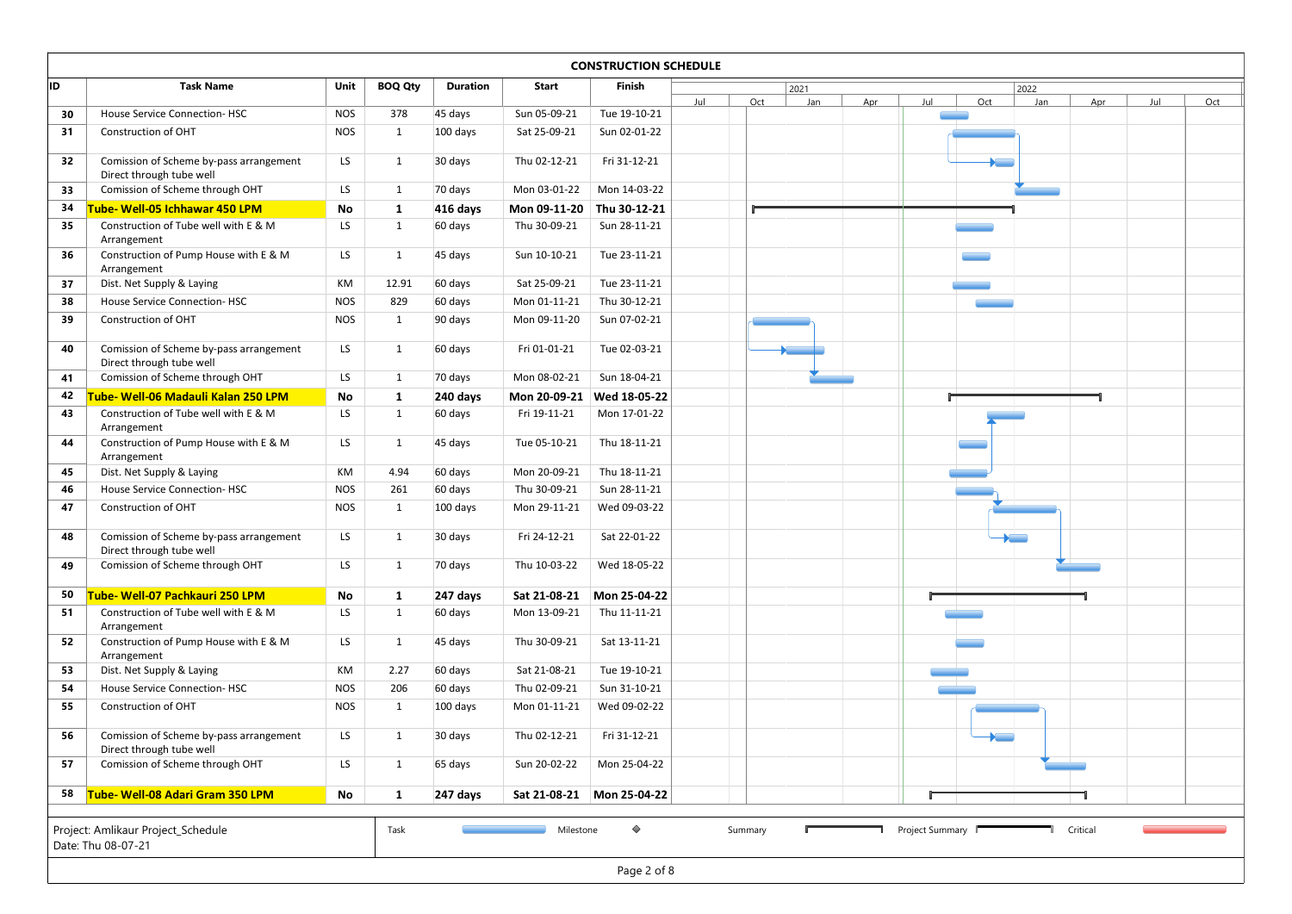|          |                                                             |            |                |                 |                              | <b>CONSTRUCTION SCHEDULE</b> |     |     |             |     |     |     |             |     |     |     |
|----------|-------------------------------------------------------------|------------|----------------|-----------------|------------------------------|------------------------------|-----|-----|-------------|-----|-----|-----|-------------|-----|-----|-----|
|          | <b>Task Name</b>                                            | Unit       | <b>BOQ Qty</b> | <b>Duration</b> | Start                        | Finish                       |     |     |             |     |     |     |             |     |     |     |
|          |                                                             |            |                |                 |                              |                              | Jul | Oct | 2021<br>Jan | Apr | Jul | Oct | 2022<br>Jan | Apr | Jul | Oct |
| 30       | House Service Connection-HSC                                | <b>NOS</b> | 378            | 45 days         | Sun 05-09-21                 | Tue 19-10-21                 |     |     |             |     |     |     |             |     |     |     |
| 31       | Construction of OHT                                         | <b>NOS</b> | 1              | $100$ days      | Sat 25-09-21                 | Sun 02-01-22                 |     |     |             |     |     |     |             |     |     |     |
| 32       | Comission of Scheme by-pass arrangement                     | LS         | 1              | 30 days         | Thu 02-12-21                 | Fri 31-12-21                 |     |     |             |     |     |     |             |     |     |     |
|          | Direct through tube well                                    |            |                |                 |                              |                              |     |     |             |     |     |     |             |     |     |     |
| 33       | Comission of Scheme through OHT                             | LS         | 1              | 70 days         | Mon 03-01-22                 | Mon 14-03-22                 |     |     |             |     |     |     |             |     |     |     |
| 34       | Tube- Well-05 Ichhawar 450 LPM                              | No         | $\mathbf{1}$   | 416 days        | Mon 09-11-20                 | Thu 30-12-21                 |     |     |             |     |     |     |             |     |     |     |
| 35       | Construction of Tube well with E & M<br>Arrangement         | LS         | 1              | 60 days         | Thu 30-09-21                 | Sun 28-11-21                 |     |     |             |     |     |     |             |     |     |     |
| 36       | Construction of Pump House with E & M                       | LS         | 1              | 45 days         | Sun 10-10-21                 | Tue 23-11-21                 |     |     |             |     |     |     |             |     |     |     |
|          | Arrangement                                                 |            |                |                 |                              |                              |     |     |             |     |     |     |             |     |     |     |
| 37       | Dist. Net Supply & Laying                                   | KM         | 12.91          | 60 days         | Sat 25-09-21                 | Tue 23-11-21                 |     |     |             |     |     |     |             |     |     |     |
| 38       | House Service Connection-HSC                                | <b>NOS</b> | 829            | 60 days         | Mon 01-11-21                 | Thu 30-12-21                 |     |     |             |     |     |     |             |     |     |     |
| 39       | Construction of OHT                                         | <b>NOS</b> | 1              | 90 days         | Mon 09-11-20                 | Sun 07-02-21                 |     |     |             |     |     |     |             |     |     |     |
| 40       | Comission of Scheme by-pass arrangement                     | LS         | 1              | 60 days         | Fri 01-01-21                 | Tue 02-03-21                 |     |     |             |     |     |     |             |     |     |     |
|          | Direct through tube well                                    |            |                |                 |                              |                              |     |     |             |     |     |     |             |     |     |     |
| 41       | Comission of Scheme through OHT                             | LS         | $\mathbf{1}$   | 70 days         | Mon 08-02-21                 | Sun 18-04-21                 |     |     |             |     |     |     |             |     |     |     |
| 42       | Tube- Well-06 Madauli Kalan 250 LPM                         | No         | $\mathbf{1}$   | 240 days        | Mon 20-09-21                 | Wed 18-05-22                 |     |     |             |     |     |     |             |     |     |     |
| 43       | Construction of Tube well with E & M<br>Arrangement         | LS         | 1              | 60 days         | Fri 19-11-21                 | Mon 17-01-22                 |     |     |             |     |     |     |             |     |     |     |
| 44       | Construction of Pump House with E & M                       | LS         | 1              | 45 days         | Tue 05-10-21                 | Thu 18-11-21                 |     |     |             |     |     |     |             |     |     |     |
|          | Arrangement                                                 |            |                |                 |                              |                              |     |     |             |     |     |     |             |     |     |     |
| 45<br>46 | Dist. Net Supply & Laying                                   | KM         | 4.94           | 60 days         | Mon 20-09-21                 | Thu 18-11-21                 |     |     |             |     |     |     |             |     |     |     |
| 47       | <b>House Service Connection-HSC</b>                         | <b>NOS</b> | 261            | 60 days         | Thu 30-09-21<br>Mon 29-11-21 | Sun 28-11-21                 |     |     |             |     |     |     |             |     |     |     |
|          | Construction of OHT                                         | <b>NOS</b> | 1              | 100 days        |                              | Wed 09-03-22                 |     |     |             |     |     |     |             |     |     |     |
| 48       | Comission of Scheme by-pass arrangement                     | LS         | 1              | 30 days         | Fri 24-12-21                 | Sat 22-01-22                 |     |     |             |     |     |     |             |     |     |     |
| 49       | Direct through tube well<br>Comission of Scheme through OHT | LS         | 1              | 70 days         | Thu 10-03-22                 | Wed 18-05-22                 |     |     |             |     |     |     |             |     |     |     |
|          |                                                             |            |                |                 |                              |                              |     |     |             |     |     |     |             |     |     |     |
| 50       | Tube- Well-07 Pachkauri 250 LPM                             | No         | $\mathbf{1}$   | 247 days        | Sat 21-08-21                 | Mon 25-04-22                 |     |     |             |     |     |     |             |     |     |     |
| 51       | Construction of Tube well with E & M                        | LS         | 1              | 60 days         | Mon 13-09-21                 | Thu 11-11-21                 |     |     |             |     |     |     |             |     |     |     |
| 52       | Arrangement<br>Construction of Pump House with E & M        | LS         | 1              | 45 days         | Thu 30-09-21                 | Sat 13-11-21                 |     |     |             |     |     |     |             |     |     |     |
|          | Arrangement                                                 |            |                |                 |                              |                              |     |     |             |     |     |     |             |     |     |     |
| 53       | Dist. Net Supply & Laying                                   | KM         | 2.27           | 60 days         | Sat 21-08-21                 | Tue 19-10-21                 |     |     |             |     |     |     |             |     |     |     |
| 54       | House Service Connection-HSC                                | <b>NOS</b> | 206            | 60 days         | Thu 02-09-21                 | Sun 31-10-21                 |     |     |             |     |     |     |             |     |     |     |
| 55       | Construction of OHT                                         | <b>NOS</b> | 1              | 100 days        | Mon 01-11-21                 | Wed 09-02-22                 |     |     |             |     |     |     |             |     |     |     |
|          | Comission of Scheme by-pass arrangement                     | LS         | 1              | 30 days         | Thu 02-12-21                 | Fri 31-12-21                 |     |     |             |     |     |     |             |     |     |     |
|          | Direct through tube well                                    |            |                |                 |                              |                              |     |     |             |     |     |     |             |     |     |     |
| 56       | Comission of Scheme through OHT                             | LS         | 1              | 65 days         | Sun 20-02-22                 | Mon 25-04-22                 |     |     |             |     |     |     |             |     |     |     |
| 57       |                                                             |            |                |                 |                              |                              |     |     |             |     |     |     |             |     |     |     |
|          | 58 Tube-Well-08 Adari Gram 350 LPM                          | No         | 1              | 247 days        |                              | Sat 21-08-21 Mon 25-04-22    |     |     |             |     |     |     |             |     |     |     |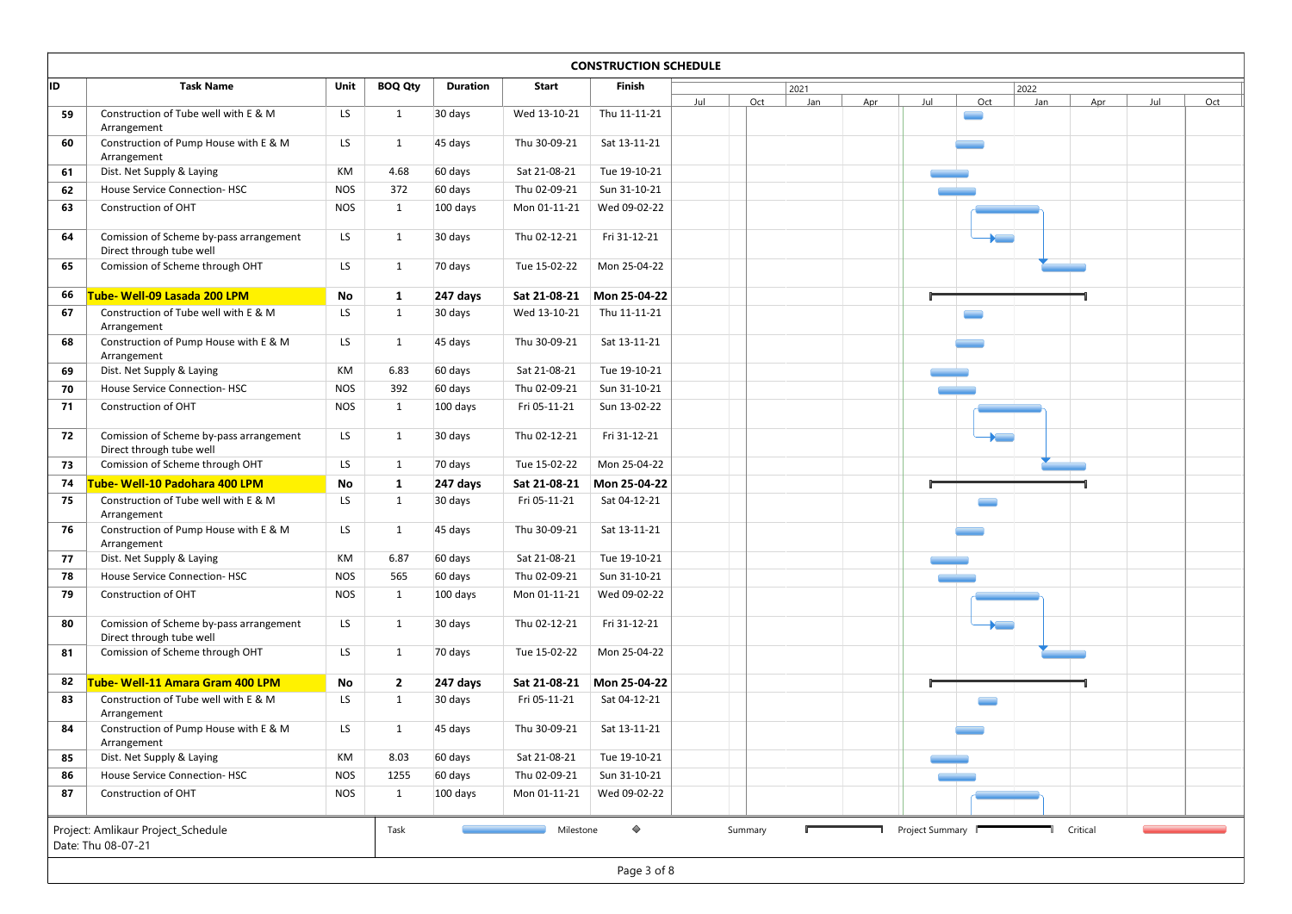|    |                                                                     |            |                |                 |                              | <b>CONSTRUCTION SCHEDULE</b> |     |     |             |     |     |     |             |     |     |     |
|----|---------------------------------------------------------------------|------------|----------------|-----------------|------------------------------|------------------------------|-----|-----|-------------|-----|-----|-----|-------------|-----|-----|-----|
| ID | <b>Task Name</b>                                                    | Unit       | <b>BOQ Qty</b> | <b>Duration</b> | Start                        | Finish                       | Jul | Oct | 2021<br>Jan | Apr | Jul | Oct | 2022<br>Jan | Apr | Jul | Oct |
| 59 | Construction of Tube well with E & M                                | LS.        | 1              | 30 days         | Wed 13-10-21                 | Thu 11-11-21                 |     |     |             |     |     |     |             |     |     |     |
| 60 | Arrangement<br>Construction of Pump House with E & M                | LS         | 1              | 45 days         | Thu 30-09-21                 | Sat 13-11-21                 |     |     |             |     |     |     |             |     |     |     |
| 61 | Arrangement<br>Dist. Net Supply & Laying                            | КM         | 4.68           | 60 days         | Sat 21-08-21                 | Tue 19-10-21                 |     |     |             |     |     |     |             |     |     |     |
| 62 | <b>House Service Connection-HSC</b>                                 | <b>NOS</b> | 372            | 60 days         | Thu 02-09-21                 | Sun 31-10-21                 |     |     |             |     |     |     |             |     |     |     |
| 63 | Construction of OHT                                                 | <b>NOS</b> | 1              | 100 days        | Mon 01-11-21                 | Wed 09-02-22                 |     |     |             |     |     |     |             |     |     |     |
|    |                                                                     |            |                |                 |                              |                              |     |     |             |     |     |     |             |     |     |     |
| 64 | Comission of Scheme by-pass arrangement<br>Direct through tube well | LS         | 1              | 30 days         | Thu 02-12-21                 | Fri 31-12-21                 |     |     |             |     |     |     |             |     |     |     |
| 65 | Comission of Scheme through OHT                                     | LS         | 1              | 70 days         | Tue 15-02-22                 | Mon 25-04-22                 |     |     |             |     |     |     |             |     |     |     |
| 66 | Tube- Well-09 Lasada 200 LPM                                        | No         | 1              | 247 days        | Sat 21-08-21                 | Mon 25-04-22                 |     |     |             |     |     |     |             |     |     |     |
| 67 | Construction of Tube well with E & M                                | LS         | 1              | 30 days         | Wed 13-10-21                 | Thu 11-11-21                 |     |     |             |     |     |     |             |     |     |     |
| 68 | Arrangement<br>Construction of Pump House with E & M                | LS         | 1              | 45 days         | Thu 30-09-21                 | Sat 13-11-21                 |     |     |             |     |     |     |             |     |     |     |
|    | Arrangement                                                         |            |                |                 |                              |                              |     |     |             |     |     |     |             |     |     |     |
| 69 | Dist. Net Supply & Laying                                           | KM         | 6.83           | 60 days         | Sat 21-08-21                 | Tue 19-10-21                 |     |     |             |     |     |     |             |     |     |     |
| 70 | House Service Connection-HSC                                        | <b>NOS</b> | 392            | 60 days         | Thu 02-09-21<br>Fri 05-11-21 | Sun 31-10-21                 |     |     |             |     |     |     |             |     |     |     |
| 71 | Construction of OHT                                                 | <b>NOS</b> | 1              | 100 days        |                              | Sun 13-02-22                 |     |     |             |     |     |     |             |     |     |     |
| 72 | Comission of Scheme by-pass arrangement                             | LS         | 1              | 30 days         | Thu 02-12-21                 | Fri 31-12-21                 |     |     |             |     |     |     |             |     |     |     |
| 73 | Direct through tube well<br>Comission of Scheme through OHT         | LS         | 1              | 70 days         | Tue 15-02-22                 | Mon 25-04-22                 |     |     |             |     |     |     |             |     |     |     |
| 74 | Tube- Well-10 Padohara 400 LPM                                      | No         | 1              | 247 days        | Sat 21-08-21                 | Mon 25-04-22                 |     |     |             |     |     |     |             |     |     |     |
| 75 | Construction of Tube well with E & M                                | LS         | 1              | 30 days         | Fri 05-11-21                 | Sat 04-12-21                 |     |     |             |     |     |     |             |     |     |     |
| 76 | Arrangement<br>Construction of Pump House with E & M                | LS         | 1              | 45 days         | Thu 30-09-21                 | Sat 13-11-21                 |     |     |             |     |     |     |             |     |     |     |
|    | Arrangement                                                         |            |                |                 |                              |                              |     |     |             |     |     |     |             |     |     |     |
| 77 | Dist. Net Supply & Laying                                           | KM         | 6.87           | 60 days         | Sat 21-08-21                 | Tue 19-10-21                 |     |     |             |     |     |     |             |     |     |     |
| 78 | House Service Connection-HSC                                        | <b>NOS</b> | 565            | 60 days         | Thu 02-09-21                 | Sun 31-10-21                 |     |     |             |     |     |     |             |     |     |     |
| 79 | Construction of OHT                                                 | <b>NOS</b> | $\mathbf{1}$   | 100 days        | Mon 01-11-21                 | Wed 09-02-22                 |     |     |             |     |     |     |             |     |     |     |
| 80 | Comission of Scheme by-pass arrangement<br>Direct through tube well | LS         | 1              | 30 days         | Thu 02-12-21                 | Fri 31-12-21                 |     |     |             |     |     |     |             |     |     |     |
| 81 | Comission of Scheme through OHT                                     | LS         | 1              | 70 days         | Tue 15-02-22                 | Mon 25-04-22                 |     |     |             |     |     |     |             |     |     |     |
| 82 | Tube- Well-11 Amara Gram 400 LPM                                    | No         | $\overline{2}$ | 247 days        | Sat 21-08-21                 | Mon 25-04-22                 |     |     |             |     |     |     |             |     |     |     |
| 83 | Construction of Tube well with E & M                                | LS         | 1              | 30 days         | Fri 05-11-21                 | Sat 04-12-21                 |     |     |             |     |     |     |             |     |     |     |
|    | Arrangement                                                         |            |                |                 |                              |                              |     |     |             |     |     |     |             |     |     |     |
| 84 | Construction of Pump House with E & M<br>Arrangement                | LS         | 1              | 45 days         | Thu 30-09-21                 | Sat 13-11-21                 |     |     |             |     |     |     |             |     |     |     |
| 85 | Dist. Net Supply & Laying                                           | KM         | 8.03           | 60 days         | Sat 21-08-21                 | Tue 19-10-21                 |     |     |             |     |     |     |             |     |     |     |
| 86 | House Service Connection-HSC                                        | <b>NOS</b> | 1255           | 60 days         | Thu 02-09-21                 | Sun 31-10-21                 |     |     |             |     |     |     |             |     |     |     |
|    | Construction of OHT                                                 | <b>NOS</b> | 1              | 100 days        | Mon 01-11-21                 | Wed 09-02-22                 |     |     |             |     |     |     |             |     |     |     |
| 87 |                                                                     |            |                |                 |                              |                              |     |     |             |     |     |     |             |     |     |     |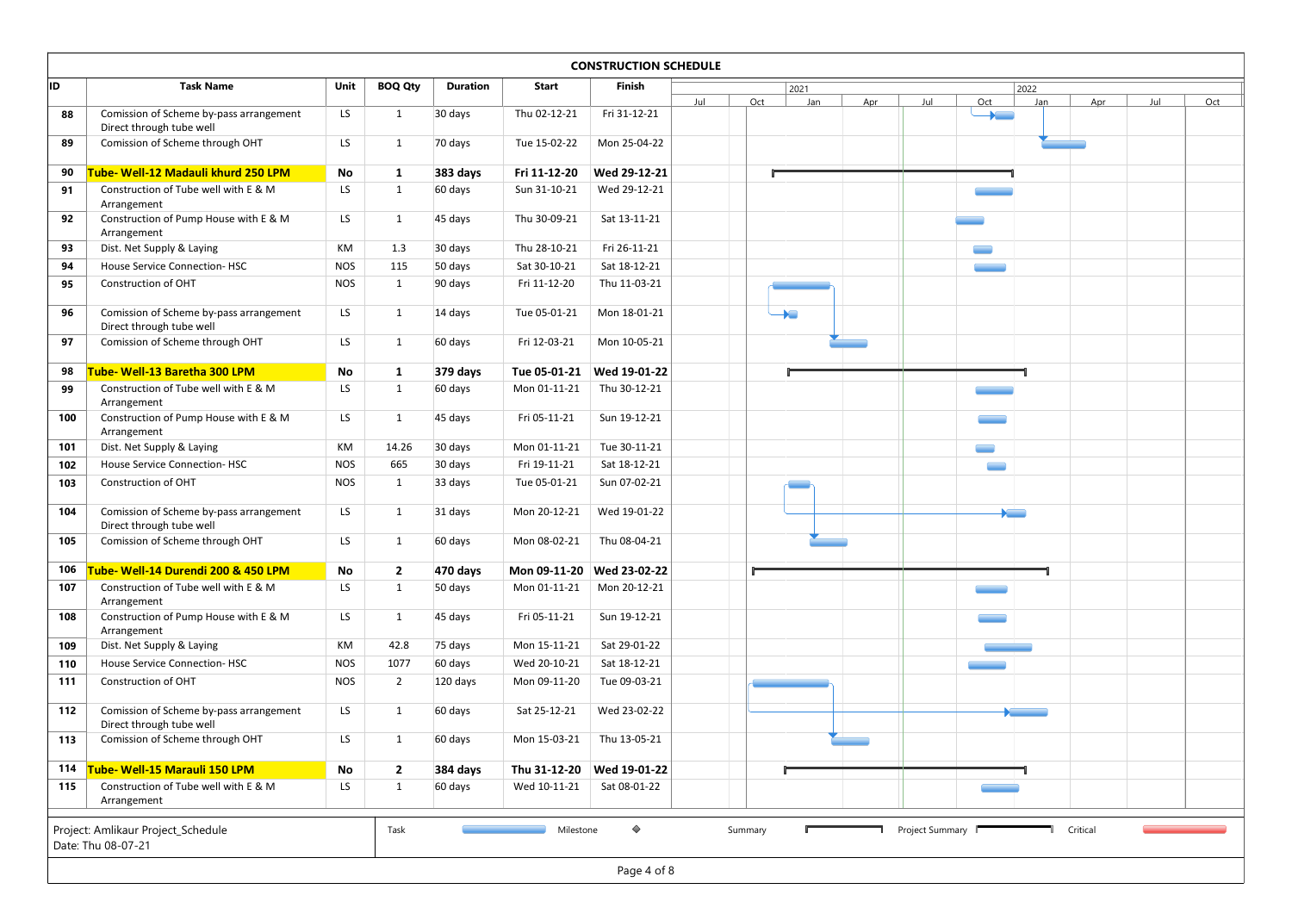|            |                                                                         |               |                                |                     |              | <b>CONSTRUCTION SCHEDULE</b>              |     |     |      |     |     |                                 |               |     |            |     |
|------------|-------------------------------------------------------------------------|---------------|--------------------------------|---------------------|--------------|-------------------------------------------|-----|-----|------|-----|-----|---------------------------------|---------------|-----|------------|-----|
| ID         | <b>Task Name</b>                                                        | Unit          | <b>BOQ Qty</b>                 | <b>Duration</b>     | Start        | Finish                                    |     |     | 2021 |     |     |                                 | 2022          |     |            |     |
| 88         | Comission of Scheme by-pass arrangement                                 | LS            | 1                              | 30 days             | Thu 02-12-21 | Fri 31-12-21                              | Jul | Oct | Jan  | Apr | Jul | Oct<br>$\overline{\phantom{a}}$ | Jan           | Apr | <b>Jul</b> | Oct |
|            | Direct through tube well                                                |               |                                |                     |              |                                           |     |     |      |     |     |                                 |               |     |            |     |
| 89         | Comission of Scheme through OHT                                         | LS            | 1                              | 70 days             | Tue 15-02-22 | Mon 25-04-22                              |     |     |      |     |     |                                 |               |     |            |     |
| 90         | Tube- Well-12 Madauli khurd 250 LPM                                     | No            | 1                              | 383 days            | Fri 11-12-20 | Wed 29-12-21                              |     |     |      |     |     |                                 |               |     |            |     |
| 91         | Construction of Tube well with E & M                                    | LS            | 1                              | 60 days             | Sun 31-10-21 | Wed 29-12-21                              |     |     |      |     |     |                                 |               |     |            |     |
|            | Arrangement                                                             |               |                                |                     |              |                                           |     |     |      |     |     |                                 |               |     |            |     |
| 92         | Construction of Pump House with E & M                                   | LS            | 1                              | 45 days             | Thu 30-09-21 | Sat 13-11-21                              |     |     |      |     |     |                                 |               |     |            |     |
| 93         | Arrangement<br>Dist. Net Supply & Laying                                | KM            | 1.3                            | 30 days             | Thu 28-10-21 | Fri 26-11-21                              |     |     |      |     |     |                                 |               |     |            |     |
| 94         | House Service Connection-HSC                                            | <b>NOS</b>    | 115                            | 50 days             | Sat 30-10-21 | Sat 18-12-21                              |     |     |      |     |     |                                 |               |     |            |     |
| 95         | Construction of OHT                                                     | NOS           | 1                              | 90 days             | Fri 11-12-20 | Thu 11-03-21                              |     |     |      |     |     |                                 |               |     |            |     |
|            |                                                                         |               |                                |                     |              |                                           |     |     |      |     |     |                                 |               |     |            |     |
| 96         | Comission of Scheme by-pass arrangement<br>Direct through tube well     | LS            | 1                              | 14 days             | Tue 05-01-21 | Mon 18-01-21                              |     |     |      |     |     |                                 |               |     |            |     |
| 97         | Comission of Scheme through OHT                                         | LS            | 1                              | 60 days             | Fri 12-03-21 | Mon 10-05-21                              |     |     |      |     |     |                                 |               |     |            |     |
|            |                                                                         |               |                                |                     |              |                                           |     |     |      |     |     |                                 |               |     |            |     |
|            | 98 Tube-Well-13 Baretha 300 LPM<br>Construction of Tube well with E & M | No<br>LS      | 1<br>1                         | 379 days<br>60 days | Mon 01-11-21 | Tue 05-01-21 Wed 19-01-22<br>Thu 30-12-21 |     |     |      |     |     |                                 |               |     |            |     |
| 99         | Arrangement                                                             |               |                                |                     |              |                                           |     |     |      |     |     |                                 |               |     |            |     |
| 100        | Construction of Pump House with E & M                                   | LS            | 1                              | 45 days             | Fri 05-11-21 | Sun 19-12-21                              |     |     |      |     |     |                                 |               |     |            |     |
|            | Arrangement                                                             | KM            | 14.26                          | 30 days             | Mon 01-11-21 | Tue 30-11-21                              |     |     |      |     |     |                                 |               |     |            |     |
| 101<br>102 | Dist. Net Supply & Laying<br>House Service Connection-HSC               | <b>NOS</b>    | 665                            | 30 days             | Fri 19-11-21 | Sat 18-12-21                              |     |     |      |     |     |                                 |               |     |            |     |
| 103        | Construction of OHT                                                     | <b>NOS</b>    | 1                              | 33 days             | Tue 05-01-21 | Sun 07-02-21                              |     |     |      |     |     |                                 |               |     |            |     |
|            |                                                                         |               |                                |                     |              |                                           |     |     |      |     |     |                                 |               |     |            |     |
| 104        | Comission of Scheme by-pass arrangement<br>Direct through tube well     | LS            | 1                              | 31 days             | Mon 20-12-21 | Wed 19-01-22                              |     |     |      |     |     |                                 | $\overline{}$ |     |            |     |
| 105        | Comission of Scheme through OHT                                         | LS            | $\mathbf{1}$                   | 60 days             | Mon 08-02-21 | Thu 08-04-21                              |     |     |      |     |     |                                 |               |     |            |     |
|            | Tube- Well-14 Durendi 200 & 450 LPM                                     |               |                                |                     |              |                                           |     |     |      |     |     |                                 |               |     |            |     |
| 106<br>107 | Construction of Tube well with E & M                                    | No<br>LS      | $\overline{2}$<br>$\mathbf{1}$ | 470 days<br>50 days | Mon 01-11-21 | Mon 09-11-20 Wed 23-02-22<br>Mon 20-12-21 |     |     |      |     |     |                                 |               |     |            |     |
|            | Arrangement                                                             |               |                                |                     |              |                                           |     |     |      |     |     |                                 |               |     |            |     |
| 108        | Construction of Pump House with E & M<br>Arrangement                    | LS            | 1                              | 45 days             | Fri 05-11-21 | Sun 19-12-21                              |     |     |      |     |     |                                 |               |     |            |     |
| 109        | Dist. Net Supply & Laying                                               | KM            | 42.8                           | 75 days             | Mon 15-11-21 | Sat 29-01-22                              |     |     |      |     |     |                                 |               |     |            |     |
| 110        | House Service Connection-HSC                                            | <b>NOS</b>    | 1077                           | 60 days             | Wed 20-10-21 | Sat 18-12-21                              |     |     |      |     |     |                                 |               |     |            |     |
| 111        | Construction of OHT                                                     | <b>NOS</b>    | $\overline{2}$                 | 120 days            | Mon 09-11-20 | Tue 09-03-21                              |     |     |      |     |     |                                 |               |     |            |     |
|            |                                                                         |               |                                |                     |              |                                           |     |     |      |     |     |                                 |               |     |            |     |
| 112        | Comission of Scheme by-pass arrangement<br>Direct through tube well     | LS            | 1                              | 60 days             | Sat 25-12-21 | Wed 23-02-22                              |     |     |      |     |     |                                 | $\sim$        |     |            |     |
| 113        | Comission of Scheme through OHT                                         | LS            | $\mathbf{1}$                   | 60 days             | Mon 15-03-21 | Thu 13-05-21                              |     |     |      |     |     |                                 |               |     |            |     |
| 114        | Tube- Well-15 Marauli 150 LPM                                           | $\mathsf{No}$ | $\overline{2}$                 | 384 days            |              | Thu 31-12-20 Wed 19-01-22                 |     |     |      |     |     |                                 |               |     |            |     |
| 115        | Construction of Tube well with E & M                                    | LS            | 1                              | 60 days             | Wed 10-11-21 | Sat 08-01-22                              |     |     |      |     |     |                                 |               |     |            |     |
|            | Arrangement                                                             |               |                                |                     |              |                                           |     |     |      |     |     |                                 |               |     |            |     |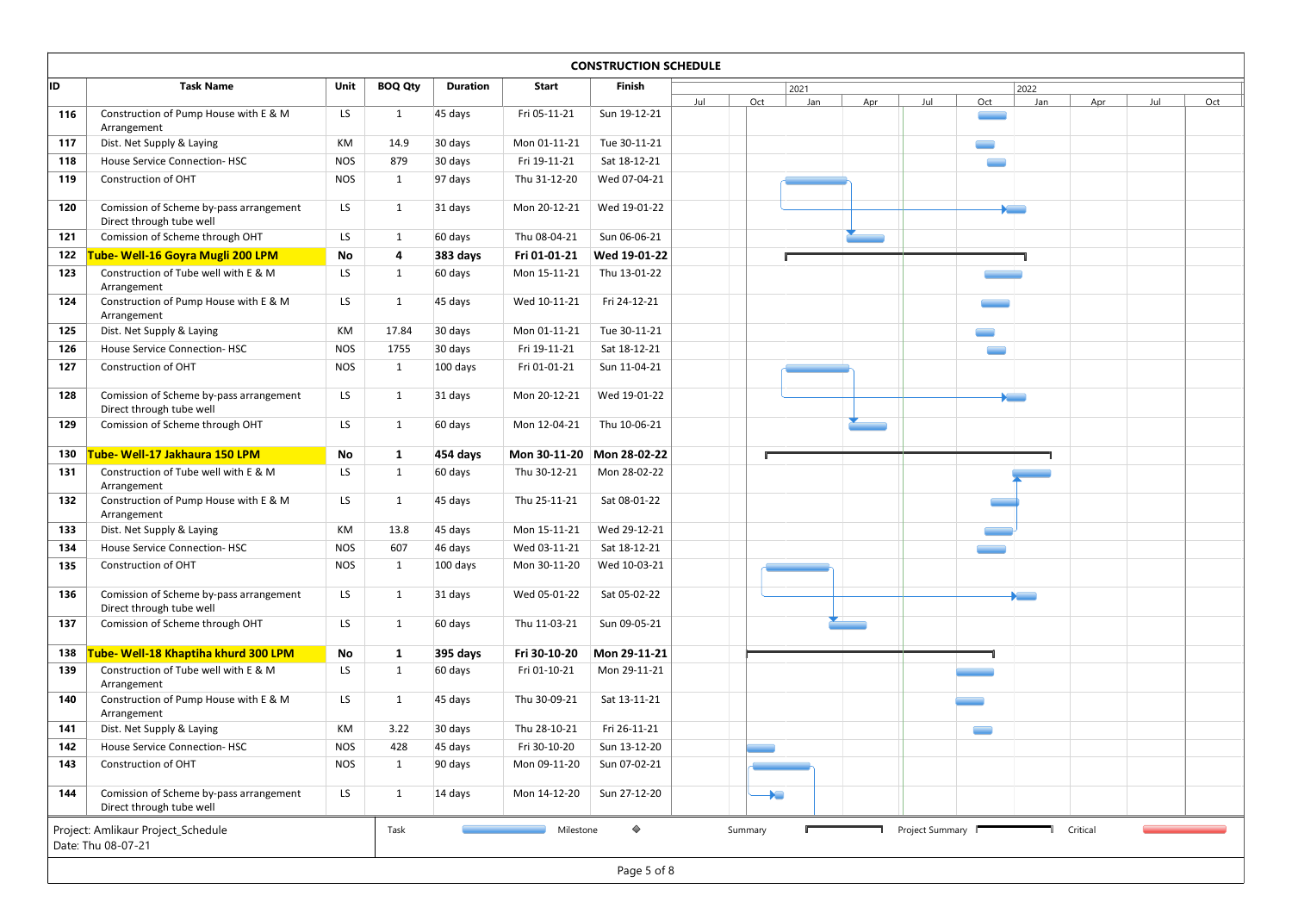| <b>CONSTRUCTION SCHEDULE</b><br>ID<br><b>Task Name</b><br>Unit<br><b>BOQ Qty</b><br>Duration<br>Start<br>Finish<br>2021<br>2022<br>Jul<br>Jul<br>Oct<br>Jan<br>Apr<br>Oct<br>Jan<br>Jul<br>Apr<br>Construction of Pump House with E & M<br>LS<br>$\mathbf{1}$<br>45 days<br>Fri 05-11-21<br>Sun 19-12-21<br>116<br>Arrangement<br>Tue 30-11-21<br>Dist. Net Supply & Laying<br>КM<br>14.9<br>30 days<br>Mon 01-11-21<br>117<br>House Service Connection-HSC<br><b>NOS</b><br>879<br>30 days<br>Fri 19-11-21<br>Sat 18-12-21<br>118<br>119<br>Construction of OHT<br><b>NOS</b><br>97 days<br>Thu 31-12-20<br>Wed 07-04-21<br>1<br>120<br>Comission of Scheme by-pass arrangement<br>LS<br>Mon 20-12-21<br>Wed 19-01-22<br>1<br>31 days<br><b>Property</b><br>Direct through tube well<br>Comission of Scheme through OHT<br>Thu 08-04-21<br>LS<br>60 days<br>Sun 06-06-21<br>121<br>1<br>Tube- Well-16 Goyra Mugli 200 LPM<br>122<br>No<br>383 days<br>Fri 01-01-21<br>Wed 19-01-22<br>$\overline{4}$<br>Construction of Tube well with E & M<br>LS<br>$\mathbf{1}$<br>123<br>60 days<br>Mon 15-11-21<br>Thu 13-01-22<br>Arrangement<br>Construction of Pump House with E & M<br>124<br>LS<br>Wed 10-11-21<br>Fri 24-12-21<br>1<br>45 days<br>Arrangement<br>125<br>Dist. Net Supply & Laying<br>KM<br>17.84<br>30 days<br>Mon 01-11-21<br>Tue 30-11-21<br>Fri 19-11-21<br>Sat 18-12-21<br>126<br>House Service Connection-HSC<br><b>NOS</b><br>1755<br>30 days<br><b>NOS</b><br>Fri 01-01-21<br>127<br>Construction of OHT<br>100 days<br>Sun 11-04-21<br>1<br>Comission of Scheme by-pass arrangement<br>LS<br>Mon 20-12-21<br>Wed 19-01-22<br>128<br>1<br>31 days<br>$\sum_{i=1}^{n}$<br>Direct through tube well<br>Comission of Scheme through OHT<br>LS<br>Mon 12-04-21<br>Thu 10-06-21<br>129<br>60 days<br>1<br>Tube- Well-17 Jakhaura 150 LPM<br>No<br>Mon 30-11-20 Mon 28-02-22<br>130<br>454 days<br>1<br>Construction of Tube well with E & M<br>LS<br>Thu 30-12-21<br>Mon 28-02-22<br>131<br>$\mathbf{1}$<br>60 days<br>Arrangement<br>Construction of Pump House with E & M<br>LS<br>Sat 08-01-22<br>132<br>45 days<br>Thu 25-11-21<br>1<br>Arrangement<br>13.8<br>Wed 29-12-21<br>Dist. Net Supply & Laying<br>KM<br>45 days<br>Mon 15-11-21<br>133<br>Wed 03-11-21<br>Sat 18-12-21<br>House Service Connection-HSC<br><b>NOS</b><br>607<br>46 days<br>134<br>Construction of OHT<br><b>NOS</b><br>Mon 30-11-20<br>Wed 10-03-21<br>135<br>1<br>100 days<br>Comission of Scheme by-pass arrangement<br>Wed 05-01-22<br>Sat 05-02-22<br>136<br>LS<br>$\mathbf{1}$<br>31 days<br><b>Paradonic</b><br>Direct through tube well<br>Comission of Scheme through OHT<br>LS<br>$\mathbf{1}$<br>60 days<br>Thu 11-03-21<br>Sun 09-05-21<br>137<br>Tube- Well-18 Khaptiha khurd 300 LPM<br>Fri 30-10-20<br>Mon 29-11-21<br>138<br>No<br>395 days<br><sup>1</sup><br>Construction of Tube well with E & M<br>LS<br>60 days<br>Fri 01-10-21<br>Mon 29-11-21<br>139<br>1<br>Arrangement<br>Construction of Pump House with E & M<br>Thu 30-09-21<br>LS<br>45 days<br>Sat 13-11-21<br>140<br>1<br>Arrangement<br>KM<br>3.22<br>Thu 28-10-21<br>Fri 26-11-21<br>141<br>Dist. Net Supply & Laying<br>30 days<br><b>NOS</b><br>428<br>Fri 30-10-20<br>Sun 13-12-20<br>142<br>House Service Connection-HSC<br>45 days<br>Sun 07-02-21<br>143<br>Construction of OHT<br><b>NOS</b><br>90 days<br>Mon 09-11-20<br>1<br>Comission of Scheme by-pass arrangement<br>LS<br>Sun 27-12-20<br>144<br>14 days<br>Mon 14-12-20<br>1<br>$\blacktriangleright$ $\blacksquare$ |                          |  |  |  |  |  |  |  |     |
|----------------------------------------------------------------------------------------------------------------------------------------------------------------------------------------------------------------------------------------------------------------------------------------------------------------------------------------------------------------------------------------------------------------------------------------------------------------------------------------------------------------------------------------------------------------------------------------------------------------------------------------------------------------------------------------------------------------------------------------------------------------------------------------------------------------------------------------------------------------------------------------------------------------------------------------------------------------------------------------------------------------------------------------------------------------------------------------------------------------------------------------------------------------------------------------------------------------------------------------------------------------------------------------------------------------------------------------------------------------------------------------------------------------------------------------------------------------------------------------------------------------------------------------------------------------------------------------------------------------------------------------------------------------------------------------------------------------------------------------------------------------------------------------------------------------------------------------------------------------------------------------------------------------------------------------------------------------------------------------------------------------------------------------------------------------------------------------------------------------------------------------------------------------------------------------------------------------------------------------------------------------------------------------------------------------------------------------------------------------------------------------------------------------------------------------------------------------------------------------------------------------------------------------------------------------------------------------------------------------------------------------------------------------------------------------------------------------------------------------------------------------------------------------------------------------------------------------------------------------------------------------------------------------------------------------------------------------------------------------------------------------------------------------------------------------------------------------------------------------------------------------------------------------------------------------------------------------------------------------------------------------------------------------------------------------------------------------------------------------------------------------------------------------------------------------------------------------------------------------------------------------------------------------------------------------|--------------------------|--|--|--|--|--|--|--|-----|
|                                                                                                                                                                                                                                                                                                                                                                                                                                                                                                                                                                                                                                                                                                                                                                                                                                                                                                                                                                                                                                                                                                                                                                                                                                                                                                                                                                                                                                                                                                                                                                                                                                                                                                                                                                                                                                                                                                                                                                                                                                                                                                                                                                                                                                                                                                                                                                                                                                                                                                                                                                                                                                                                                                                                                                                                                                                                                                                                                                                                                                                                                                                                                                                                                                                                                                                                                                                                                                                                                                                                                                |                          |  |  |  |  |  |  |  |     |
|                                                                                                                                                                                                                                                                                                                                                                                                                                                                                                                                                                                                                                                                                                                                                                                                                                                                                                                                                                                                                                                                                                                                                                                                                                                                                                                                                                                                                                                                                                                                                                                                                                                                                                                                                                                                                                                                                                                                                                                                                                                                                                                                                                                                                                                                                                                                                                                                                                                                                                                                                                                                                                                                                                                                                                                                                                                                                                                                                                                                                                                                                                                                                                                                                                                                                                                                                                                                                                                                                                                                                                |                          |  |  |  |  |  |  |  |     |
|                                                                                                                                                                                                                                                                                                                                                                                                                                                                                                                                                                                                                                                                                                                                                                                                                                                                                                                                                                                                                                                                                                                                                                                                                                                                                                                                                                                                                                                                                                                                                                                                                                                                                                                                                                                                                                                                                                                                                                                                                                                                                                                                                                                                                                                                                                                                                                                                                                                                                                                                                                                                                                                                                                                                                                                                                                                                                                                                                                                                                                                                                                                                                                                                                                                                                                                                                                                                                                                                                                                                                                |                          |  |  |  |  |  |  |  |     |
|                                                                                                                                                                                                                                                                                                                                                                                                                                                                                                                                                                                                                                                                                                                                                                                                                                                                                                                                                                                                                                                                                                                                                                                                                                                                                                                                                                                                                                                                                                                                                                                                                                                                                                                                                                                                                                                                                                                                                                                                                                                                                                                                                                                                                                                                                                                                                                                                                                                                                                                                                                                                                                                                                                                                                                                                                                                                                                                                                                                                                                                                                                                                                                                                                                                                                                                                                                                                                                                                                                                                                                |                          |  |  |  |  |  |  |  |     |
|                                                                                                                                                                                                                                                                                                                                                                                                                                                                                                                                                                                                                                                                                                                                                                                                                                                                                                                                                                                                                                                                                                                                                                                                                                                                                                                                                                                                                                                                                                                                                                                                                                                                                                                                                                                                                                                                                                                                                                                                                                                                                                                                                                                                                                                                                                                                                                                                                                                                                                                                                                                                                                                                                                                                                                                                                                                                                                                                                                                                                                                                                                                                                                                                                                                                                                                                                                                                                                                                                                                                                                |                          |  |  |  |  |  |  |  |     |
|                                                                                                                                                                                                                                                                                                                                                                                                                                                                                                                                                                                                                                                                                                                                                                                                                                                                                                                                                                                                                                                                                                                                                                                                                                                                                                                                                                                                                                                                                                                                                                                                                                                                                                                                                                                                                                                                                                                                                                                                                                                                                                                                                                                                                                                                                                                                                                                                                                                                                                                                                                                                                                                                                                                                                                                                                                                                                                                                                                                                                                                                                                                                                                                                                                                                                                                                                                                                                                                                                                                                                                |                          |  |  |  |  |  |  |  |     |
|                                                                                                                                                                                                                                                                                                                                                                                                                                                                                                                                                                                                                                                                                                                                                                                                                                                                                                                                                                                                                                                                                                                                                                                                                                                                                                                                                                                                                                                                                                                                                                                                                                                                                                                                                                                                                                                                                                                                                                                                                                                                                                                                                                                                                                                                                                                                                                                                                                                                                                                                                                                                                                                                                                                                                                                                                                                                                                                                                                                                                                                                                                                                                                                                                                                                                                                                                                                                                                                                                                                                                                |                          |  |  |  |  |  |  |  |     |
|                                                                                                                                                                                                                                                                                                                                                                                                                                                                                                                                                                                                                                                                                                                                                                                                                                                                                                                                                                                                                                                                                                                                                                                                                                                                                                                                                                                                                                                                                                                                                                                                                                                                                                                                                                                                                                                                                                                                                                                                                                                                                                                                                                                                                                                                                                                                                                                                                                                                                                                                                                                                                                                                                                                                                                                                                                                                                                                                                                                                                                                                                                                                                                                                                                                                                                                                                                                                                                                                                                                                                                |                          |  |  |  |  |  |  |  |     |
|                                                                                                                                                                                                                                                                                                                                                                                                                                                                                                                                                                                                                                                                                                                                                                                                                                                                                                                                                                                                                                                                                                                                                                                                                                                                                                                                                                                                                                                                                                                                                                                                                                                                                                                                                                                                                                                                                                                                                                                                                                                                                                                                                                                                                                                                                                                                                                                                                                                                                                                                                                                                                                                                                                                                                                                                                                                                                                                                                                                                                                                                                                                                                                                                                                                                                                                                                                                                                                                                                                                                                                |                          |  |  |  |  |  |  |  |     |
|                                                                                                                                                                                                                                                                                                                                                                                                                                                                                                                                                                                                                                                                                                                                                                                                                                                                                                                                                                                                                                                                                                                                                                                                                                                                                                                                                                                                                                                                                                                                                                                                                                                                                                                                                                                                                                                                                                                                                                                                                                                                                                                                                                                                                                                                                                                                                                                                                                                                                                                                                                                                                                                                                                                                                                                                                                                                                                                                                                                                                                                                                                                                                                                                                                                                                                                                                                                                                                                                                                                                                                |                          |  |  |  |  |  |  |  |     |
|                                                                                                                                                                                                                                                                                                                                                                                                                                                                                                                                                                                                                                                                                                                                                                                                                                                                                                                                                                                                                                                                                                                                                                                                                                                                                                                                                                                                                                                                                                                                                                                                                                                                                                                                                                                                                                                                                                                                                                                                                                                                                                                                                                                                                                                                                                                                                                                                                                                                                                                                                                                                                                                                                                                                                                                                                                                                                                                                                                                                                                                                                                                                                                                                                                                                                                                                                                                                                                                                                                                                                                |                          |  |  |  |  |  |  |  |     |
|                                                                                                                                                                                                                                                                                                                                                                                                                                                                                                                                                                                                                                                                                                                                                                                                                                                                                                                                                                                                                                                                                                                                                                                                                                                                                                                                                                                                                                                                                                                                                                                                                                                                                                                                                                                                                                                                                                                                                                                                                                                                                                                                                                                                                                                                                                                                                                                                                                                                                                                                                                                                                                                                                                                                                                                                                                                                                                                                                                                                                                                                                                                                                                                                                                                                                                                                                                                                                                                                                                                                                                |                          |  |  |  |  |  |  |  |     |
|                                                                                                                                                                                                                                                                                                                                                                                                                                                                                                                                                                                                                                                                                                                                                                                                                                                                                                                                                                                                                                                                                                                                                                                                                                                                                                                                                                                                                                                                                                                                                                                                                                                                                                                                                                                                                                                                                                                                                                                                                                                                                                                                                                                                                                                                                                                                                                                                                                                                                                                                                                                                                                                                                                                                                                                                                                                                                                                                                                                                                                                                                                                                                                                                                                                                                                                                                                                                                                                                                                                                                                |                          |  |  |  |  |  |  |  |     |
|                                                                                                                                                                                                                                                                                                                                                                                                                                                                                                                                                                                                                                                                                                                                                                                                                                                                                                                                                                                                                                                                                                                                                                                                                                                                                                                                                                                                                                                                                                                                                                                                                                                                                                                                                                                                                                                                                                                                                                                                                                                                                                                                                                                                                                                                                                                                                                                                                                                                                                                                                                                                                                                                                                                                                                                                                                                                                                                                                                                                                                                                                                                                                                                                                                                                                                                                                                                                                                                                                                                                                                |                          |  |  |  |  |  |  |  | Oct |
|                                                                                                                                                                                                                                                                                                                                                                                                                                                                                                                                                                                                                                                                                                                                                                                                                                                                                                                                                                                                                                                                                                                                                                                                                                                                                                                                                                                                                                                                                                                                                                                                                                                                                                                                                                                                                                                                                                                                                                                                                                                                                                                                                                                                                                                                                                                                                                                                                                                                                                                                                                                                                                                                                                                                                                                                                                                                                                                                                                                                                                                                                                                                                                                                                                                                                                                                                                                                                                                                                                                                                                |                          |  |  |  |  |  |  |  |     |
|                                                                                                                                                                                                                                                                                                                                                                                                                                                                                                                                                                                                                                                                                                                                                                                                                                                                                                                                                                                                                                                                                                                                                                                                                                                                                                                                                                                                                                                                                                                                                                                                                                                                                                                                                                                                                                                                                                                                                                                                                                                                                                                                                                                                                                                                                                                                                                                                                                                                                                                                                                                                                                                                                                                                                                                                                                                                                                                                                                                                                                                                                                                                                                                                                                                                                                                                                                                                                                                                                                                                                                |                          |  |  |  |  |  |  |  |     |
|                                                                                                                                                                                                                                                                                                                                                                                                                                                                                                                                                                                                                                                                                                                                                                                                                                                                                                                                                                                                                                                                                                                                                                                                                                                                                                                                                                                                                                                                                                                                                                                                                                                                                                                                                                                                                                                                                                                                                                                                                                                                                                                                                                                                                                                                                                                                                                                                                                                                                                                                                                                                                                                                                                                                                                                                                                                                                                                                                                                                                                                                                                                                                                                                                                                                                                                                                                                                                                                                                                                                                                |                          |  |  |  |  |  |  |  |     |
|                                                                                                                                                                                                                                                                                                                                                                                                                                                                                                                                                                                                                                                                                                                                                                                                                                                                                                                                                                                                                                                                                                                                                                                                                                                                                                                                                                                                                                                                                                                                                                                                                                                                                                                                                                                                                                                                                                                                                                                                                                                                                                                                                                                                                                                                                                                                                                                                                                                                                                                                                                                                                                                                                                                                                                                                                                                                                                                                                                                                                                                                                                                                                                                                                                                                                                                                                                                                                                                                                                                                                                |                          |  |  |  |  |  |  |  |     |
|                                                                                                                                                                                                                                                                                                                                                                                                                                                                                                                                                                                                                                                                                                                                                                                                                                                                                                                                                                                                                                                                                                                                                                                                                                                                                                                                                                                                                                                                                                                                                                                                                                                                                                                                                                                                                                                                                                                                                                                                                                                                                                                                                                                                                                                                                                                                                                                                                                                                                                                                                                                                                                                                                                                                                                                                                                                                                                                                                                                                                                                                                                                                                                                                                                                                                                                                                                                                                                                                                                                                                                |                          |  |  |  |  |  |  |  |     |
|                                                                                                                                                                                                                                                                                                                                                                                                                                                                                                                                                                                                                                                                                                                                                                                                                                                                                                                                                                                                                                                                                                                                                                                                                                                                                                                                                                                                                                                                                                                                                                                                                                                                                                                                                                                                                                                                                                                                                                                                                                                                                                                                                                                                                                                                                                                                                                                                                                                                                                                                                                                                                                                                                                                                                                                                                                                                                                                                                                                                                                                                                                                                                                                                                                                                                                                                                                                                                                                                                                                                                                |                          |  |  |  |  |  |  |  |     |
|                                                                                                                                                                                                                                                                                                                                                                                                                                                                                                                                                                                                                                                                                                                                                                                                                                                                                                                                                                                                                                                                                                                                                                                                                                                                                                                                                                                                                                                                                                                                                                                                                                                                                                                                                                                                                                                                                                                                                                                                                                                                                                                                                                                                                                                                                                                                                                                                                                                                                                                                                                                                                                                                                                                                                                                                                                                                                                                                                                                                                                                                                                                                                                                                                                                                                                                                                                                                                                                                                                                                                                |                          |  |  |  |  |  |  |  |     |
|                                                                                                                                                                                                                                                                                                                                                                                                                                                                                                                                                                                                                                                                                                                                                                                                                                                                                                                                                                                                                                                                                                                                                                                                                                                                                                                                                                                                                                                                                                                                                                                                                                                                                                                                                                                                                                                                                                                                                                                                                                                                                                                                                                                                                                                                                                                                                                                                                                                                                                                                                                                                                                                                                                                                                                                                                                                                                                                                                                                                                                                                                                                                                                                                                                                                                                                                                                                                                                                                                                                                                                |                          |  |  |  |  |  |  |  |     |
|                                                                                                                                                                                                                                                                                                                                                                                                                                                                                                                                                                                                                                                                                                                                                                                                                                                                                                                                                                                                                                                                                                                                                                                                                                                                                                                                                                                                                                                                                                                                                                                                                                                                                                                                                                                                                                                                                                                                                                                                                                                                                                                                                                                                                                                                                                                                                                                                                                                                                                                                                                                                                                                                                                                                                                                                                                                                                                                                                                                                                                                                                                                                                                                                                                                                                                                                                                                                                                                                                                                                                                |                          |  |  |  |  |  |  |  |     |
|                                                                                                                                                                                                                                                                                                                                                                                                                                                                                                                                                                                                                                                                                                                                                                                                                                                                                                                                                                                                                                                                                                                                                                                                                                                                                                                                                                                                                                                                                                                                                                                                                                                                                                                                                                                                                                                                                                                                                                                                                                                                                                                                                                                                                                                                                                                                                                                                                                                                                                                                                                                                                                                                                                                                                                                                                                                                                                                                                                                                                                                                                                                                                                                                                                                                                                                                                                                                                                                                                                                                                                |                          |  |  |  |  |  |  |  |     |
|                                                                                                                                                                                                                                                                                                                                                                                                                                                                                                                                                                                                                                                                                                                                                                                                                                                                                                                                                                                                                                                                                                                                                                                                                                                                                                                                                                                                                                                                                                                                                                                                                                                                                                                                                                                                                                                                                                                                                                                                                                                                                                                                                                                                                                                                                                                                                                                                                                                                                                                                                                                                                                                                                                                                                                                                                                                                                                                                                                                                                                                                                                                                                                                                                                                                                                                                                                                                                                                                                                                                                                |                          |  |  |  |  |  |  |  |     |
|                                                                                                                                                                                                                                                                                                                                                                                                                                                                                                                                                                                                                                                                                                                                                                                                                                                                                                                                                                                                                                                                                                                                                                                                                                                                                                                                                                                                                                                                                                                                                                                                                                                                                                                                                                                                                                                                                                                                                                                                                                                                                                                                                                                                                                                                                                                                                                                                                                                                                                                                                                                                                                                                                                                                                                                                                                                                                                                                                                                                                                                                                                                                                                                                                                                                                                                                                                                                                                                                                                                                                                |                          |  |  |  |  |  |  |  |     |
|                                                                                                                                                                                                                                                                                                                                                                                                                                                                                                                                                                                                                                                                                                                                                                                                                                                                                                                                                                                                                                                                                                                                                                                                                                                                                                                                                                                                                                                                                                                                                                                                                                                                                                                                                                                                                                                                                                                                                                                                                                                                                                                                                                                                                                                                                                                                                                                                                                                                                                                                                                                                                                                                                                                                                                                                                                                                                                                                                                                                                                                                                                                                                                                                                                                                                                                                                                                                                                                                                                                                                                |                          |  |  |  |  |  |  |  |     |
|                                                                                                                                                                                                                                                                                                                                                                                                                                                                                                                                                                                                                                                                                                                                                                                                                                                                                                                                                                                                                                                                                                                                                                                                                                                                                                                                                                                                                                                                                                                                                                                                                                                                                                                                                                                                                                                                                                                                                                                                                                                                                                                                                                                                                                                                                                                                                                                                                                                                                                                                                                                                                                                                                                                                                                                                                                                                                                                                                                                                                                                                                                                                                                                                                                                                                                                                                                                                                                                                                                                                                                |                          |  |  |  |  |  |  |  |     |
|                                                                                                                                                                                                                                                                                                                                                                                                                                                                                                                                                                                                                                                                                                                                                                                                                                                                                                                                                                                                                                                                                                                                                                                                                                                                                                                                                                                                                                                                                                                                                                                                                                                                                                                                                                                                                                                                                                                                                                                                                                                                                                                                                                                                                                                                                                                                                                                                                                                                                                                                                                                                                                                                                                                                                                                                                                                                                                                                                                                                                                                                                                                                                                                                                                                                                                                                                                                                                                                                                                                                                                |                          |  |  |  |  |  |  |  |     |
|                                                                                                                                                                                                                                                                                                                                                                                                                                                                                                                                                                                                                                                                                                                                                                                                                                                                                                                                                                                                                                                                                                                                                                                                                                                                                                                                                                                                                                                                                                                                                                                                                                                                                                                                                                                                                                                                                                                                                                                                                                                                                                                                                                                                                                                                                                                                                                                                                                                                                                                                                                                                                                                                                                                                                                                                                                                                                                                                                                                                                                                                                                                                                                                                                                                                                                                                                                                                                                                                                                                                                                |                          |  |  |  |  |  |  |  |     |
|                                                                                                                                                                                                                                                                                                                                                                                                                                                                                                                                                                                                                                                                                                                                                                                                                                                                                                                                                                                                                                                                                                                                                                                                                                                                                                                                                                                                                                                                                                                                                                                                                                                                                                                                                                                                                                                                                                                                                                                                                                                                                                                                                                                                                                                                                                                                                                                                                                                                                                                                                                                                                                                                                                                                                                                                                                                                                                                                                                                                                                                                                                                                                                                                                                                                                                                                                                                                                                                                                                                                                                |                          |  |  |  |  |  |  |  |     |
|                                                                                                                                                                                                                                                                                                                                                                                                                                                                                                                                                                                                                                                                                                                                                                                                                                                                                                                                                                                                                                                                                                                                                                                                                                                                                                                                                                                                                                                                                                                                                                                                                                                                                                                                                                                                                                                                                                                                                                                                                                                                                                                                                                                                                                                                                                                                                                                                                                                                                                                                                                                                                                                                                                                                                                                                                                                                                                                                                                                                                                                                                                                                                                                                                                                                                                                                                                                                                                                                                                                                                                |                          |  |  |  |  |  |  |  |     |
|                                                                                                                                                                                                                                                                                                                                                                                                                                                                                                                                                                                                                                                                                                                                                                                                                                                                                                                                                                                                                                                                                                                                                                                                                                                                                                                                                                                                                                                                                                                                                                                                                                                                                                                                                                                                                                                                                                                                                                                                                                                                                                                                                                                                                                                                                                                                                                                                                                                                                                                                                                                                                                                                                                                                                                                                                                                                                                                                                                                                                                                                                                                                                                                                                                                                                                                                                                                                                                                                                                                                                                |                          |  |  |  |  |  |  |  |     |
|                                                                                                                                                                                                                                                                                                                                                                                                                                                                                                                                                                                                                                                                                                                                                                                                                                                                                                                                                                                                                                                                                                                                                                                                                                                                                                                                                                                                                                                                                                                                                                                                                                                                                                                                                                                                                                                                                                                                                                                                                                                                                                                                                                                                                                                                                                                                                                                                                                                                                                                                                                                                                                                                                                                                                                                                                                                                                                                                                                                                                                                                                                                                                                                                                                                                                                                                                                                                                                                                                                                                                                |                          |  |  |  |  |  |  |  |     |
|                                                                                                                                                                                                                                                                                                                                                                                                                                                                                                                                                                                                                                                                                                                                                                                                                                                                                                                                                                                                                                                                                                                                                                                                                                                                                                                                                                                                                                                                                                                                                                                                                                                                                                                                                                                                                                                                                                                                                                                                                                                                                                                                                                                                                                                                                                                                                                                                                                                                                                                                                                                                                                                                                                                                                                                                                                                                                                                                                                                                                                                                                                                                                                                                                                                                                                                                                                                                                                                                                                                                                                |                          |  |  |  |  |  |  |  |     |
|                                                                                                                                                                                                                                                                                                                                                                                                                                                                                                                                                                                                                                                                                                                                                                                                                                                                                                                                                                                                                                                                                                                                                                                                                                                                                                                                                                                                                                                                                                                                                                                                                                                                                                                                                                                                                                                                                                                                                                                                                                                                                                                                                                                                                                                                                                                                                                                                                                                                                                                                                                                                                                                                                                                                                                                                                                                                                                                                                                                                                                                                                                                                                                                                                                                                                                                                                                                                                                                                                                                                                                |                          |  |  |  |  |  |  |  |     |
|                                                                                                                                                                                                                                                                                                                                                                                                                                                                                                                                                                                                                                                                                                                                                                                                                                                                                                                                                                                                                                                                                                                                                                                                                                                                                                                                                                                                                                                                                                                                                                                                                                                                                                                                                                                                                                                                                                                                                                                                                                                                                                                                                                                                                                                                                                                                                                                                                                                                                                                                                                                                                                                                                                                                                                                                                                                                                                                                                                                                                                                                                                                                                                                                                                                                                                                                                                                                                                                                                                                                                                |                          |  |  |  |  |  |  |  |     |
|                                                                                                                                                                                                                                                                                                                                                                                                                                                                                                                                                                                                                                                                                                                                                                                                                                                                                                                                                                                                                                                                                                                                                                                                                                                                                                                                                                                                                                                                                                                                                                                                                                                                                                                                                                                                                                                                                                                                                                                                                                                                                                                                                                                                                                                                                                                                                                                                                                                                                                                                                                                                                                                                                                                                                                                                                                                                                                                                                                                                                                                                                                                                                                                                                                                                                                                                                                                                                                                                                                                                                                |                          |  |  |  |  |  |  |  |     |
|                                                                                                                                                                                                                                                                                                                                                                                                                                                                                                                                                                                                                                                                                                                                                                                                                                                                                                                                                                                                                                                                                                                                                                                                                                                                                                                                                                                                                                                                                                                                                                                                                                                                                                                                                                                                                                                                                                                                                                                                                                                                                                                                                                                                                                                                                                                                                                                                                                                                                                                                                                                                                                                                                                                                                                                                                                                                                                                                                                                                                                                                                                                                                                                                                                                                                                                                                                                                                                                                                                                                                                |                          |  |  |  |  |  |  |  |     |
|                                                                                                                                                                                                                                                                                                                                                                                                                                                                                                                                                                                                                                                                                                                                                                                                                                                                                                                                                                                                                                                                                                                                                                                                                                                                                                                                                                                                                                                                                                                                                                                                                                                                                                                                                                                                                                                                                                                                                                                                                                                                                                                                                                                                                                                                                                                                                                                                                                                                                                                                                                                                                                                                                                                                                                                                                                                                                                                                                                                                                                                                                                                                                                                                                                                                                                                                                                                                                                                                                                                                                                |                          |  |  |  |  |  |  |  |     |
|                                                                                                                                                                                                                                                                                                                                                                                                                                                                                                                                                                                                                                                                                                                                                                                                                                                                                                                                                                                                                                                                                                                                                                                                                                                                                                                                                                                                                                                                                                                                                                                                                                                                                                                                                                                                                                                                                                                                                                                                                                                                                                                                                                                                                                                                                                                                                                                                                                                                                                                                                                                                                                                                                                                                                                                                                                                                                                                                                                                                                                                                                                                                                                                                                                                                                                                                                                                                                                                                                                                                                                |                          |  |  |  |  |  |  |  |     |
|                                                                                                                                                                                                                                                                                                                                                                                                                                                                                                                                                                                                                                                                                                                                                                                                                                                                                                                                                                                                                                                                                                                                                                                                                                                                                                                                                                                                                                                                                                                                                                                                                                                                                                                                                                                                                                                                                                                                                                                                                                                                                                                                                                                                                                                                                                                                                                                                                                                                                                                                                                                                                                                                                                                                                                                                                                                                                                                                                                                                                                                                                                                                                                                                                                                                                                                                                                                                                                                                                                                                                                |                          |  |  |  |  |  |  |  |     |
|                                                                                                                                                                                                                                                                                                                                                                                                                                                                                                                                                                                                                                                                                                                                                                                                                                                                                                                                                                                                                                                                                                                                                                                                                                                                                                                                                                                                                                                                                                                                                                                                                                                                                                                                                                                                                                                                                                                                                                                                                                                                                                                                                                                                                                                                                                                                                                                                                                                                                                                                                                                                                                                                                                                                                                                                                                                                                                                                                                                                                                                                                                                                                                                                                                                                                                                                                                                                                                                                                                                                                                |                          |  |  |  |  |  |  |  |     |
|                                                                                                                                                                                                                                                                                                                                                                                                                                                                                                                                                                                                                                                                                                                                                                                                                                                                                                                                                                                                                                                                                                                                                                                                                                                                                                                                                                                                                                                                                                                                                                                                                                                                                                                                                                                                                                                                                                                                                                                                                                                                                                                                                                                                                                                                                                                                                                                                                                                                                                                                                                                                                                                                                                                                                                                                                                                                                                                                                                                                                                                                                                                                                                                                                                                                                                                                                                                                                                                                                                                                                                |                          |  |  |  |  |  |  |  |     |
|                                                                                                                                                                                                                                                                                                                                                                                                                                                                                                                                                                                                                                                                                                                                                                                                                                                                                                                                                                                                                                                                                                                                                                                                                                                                                                                                                                                                                                                                                                                                                                                                                                                                                                                                                                                                                                                                                                                                                                                                                                                                                                                                                                                                                                                                                                                                                                                                                                                                                                                                                                                                                                                                                                                                                                                                                                                                                                                                                                                                                                                                                                                                                                                                                                                                                                                                                                                                                                                                                                                                                                |                          |  |  |  |  |  |  |  |     |
|                                                                                                                                                                                                                                                                                                                                                                                                                                                                                                                                                                                                                                                                                                                                                                                                                                                                                                                                                                                                                                                                                                                                                                                                                                                                                                                                                                                                                                                                                                                                                                                                                                                                                                                                                                                                                                                                                                                                                                                                                                                                                                                                                                                                                                                                                                                                                                                                                                                                                                                                                                                                                                                                                                                                                                                                                                                                                                                                                                                                                                                                                                                                                                                                                                                                                                                                                                                                                                                                                                                                                                |                          |  |  |  |  |  |  |  |     |
|                                                                                                                                                                                                                                                                                                                                                                                                                                                                                                                                                                                                                                                                                                                                                                                                                                                                                                                                                                                                                                                                                                                                                                                                                                                                                                                                                                                                                                                                                                                                                                                                                                                                                                                                                                                                                                                                                                                                                                                                                                                                                                                                                                                                                                                                                                                                                                                                                                                                                                                                                                                                                                                                                                                                                                                                                                                                                                                                                                                                                                                                                                                                                                                                                                                                                                                                                                                                                                                                                                                                                                |                          |  |  |  |  |  |  |  |     |
|                                                                                                                                                                                                                                                                                                                                                                                                                                                                                                                                                                                                                                                                                                                                                                                                                                                                                                                                                                                                                                                                                                                                                                                                                                                                                                                                                                                                                                                                                                                                                                                                                                                                                                                                                                                                                                                                                                                                                                                                                                                                                                                                                                                                                                                                                                                                                                                                                                                                                                                                                                                                                                                                                                                                                                                                                                                                                                                                                                                                                                                                                                                                                                                                                                                                                                                                                                                                                                                                                                                                                                |                          |  |  |  |  |  |  |  |     |
|                                                                                                                                                                                                                                                                                                                                                                                                                                                                                                                                                                                                                                                                                                                                                                                                                                                                                                                                                                                                                                                                                                                                                                                                                                                                                                                                                                                                                                                                                                                                                                                                                                                                                                                                                                                                                                                                                                                                                                                                                                                                                                                                                                                                                                                                                                                                                                                                                                                                                                                                                                                                                                                                                                                                                                                                                                                                                                                                                                                                                                                                                                                                                                                                                                                                                                                                                                                                                                                                                                                                                                |                          |  |  |  |  |  |  |  |     |
|                                                                                                                                                                                                                                                                                                                                                                                                                                                                                                                                                                                                                                                                                                                                                                                                                                                                                                                                                                                                                                                                                                                                                                                                                                                                                                                                                                                                                                                                                                                                                                                                                                                                                                                                                                                                                                                                                                                                                                                                                                                                                                                                                                                                                                                                                                                                                                                                                                                                                                                                                                                                                                                                                                                                                                                                                                                                                                                                                                                                                                                                                                                                                                                                                                                                                                                                                                                                                                                                                                                                                                |                          |  |  |  |  |  |  |  |     |
|                                                                                                                                                                                                                                                                                                                                                                                                                                                                                                                                                                                                                                                                                                                                                                                                                                                                                                                                                                                                                                                                                                                                                                                                                                                                                                                                                                                                                                                                                                                                                                                                                                                                                                                                                                                                                                                                                                                                                                                                                                                                                                                                                                                                                                                                                                                                                                                                                                                                                                                                                                                                                                                                                                                                                                                                                                                                                                                                                                                                                                                                                                                                                                                                                                                                                                                                                                                                                                                                                                                                                                |                          |  |  |  |  |  |  |  |     |
|                                                                                                                                                                                                                                                                                                                                                                                                                                                                                                                                                                                                                                                                                                                                                                                                                                                                                                                                                                                                                                                                                                                                                                                                                                                                                                                                                                                                                                                                                                                                                                                                                                                                                                                                                                                                                                                                                                                                                                                                                                                                                                                                                                                                                                                                                                                                                                                                                                                                                                                                                                                                                                                                                                                                                                                                                                                                                                                                                                                                                                                                                                                                                                                                                                                                                                                                                                                                                                                                                                                                                                |                          |  |  |  |  |  |  |  |     |
|                                                                                                                                                                                                                                                                                                                                                                                                                                                                                                                                                                                                                                                                                                                                                                                                                                                                                                                                                                                                                                                                                                                                                                                                                                                                                                                                                                                                                                                                                                                                                                                                                                                                                                                                                                                                                                                                                                                                                                                                                                                                                                                                                                                                                                                                                                                                                                                                                                                                                                                                                                                                                                                                                                                                                                                                                                                                                                                                                                                                                                                                                                                                                                                                                                                                                                                                                                                                                                                                                                                                                                | Direct through tube well |  |  |  |  |  |  |  |     |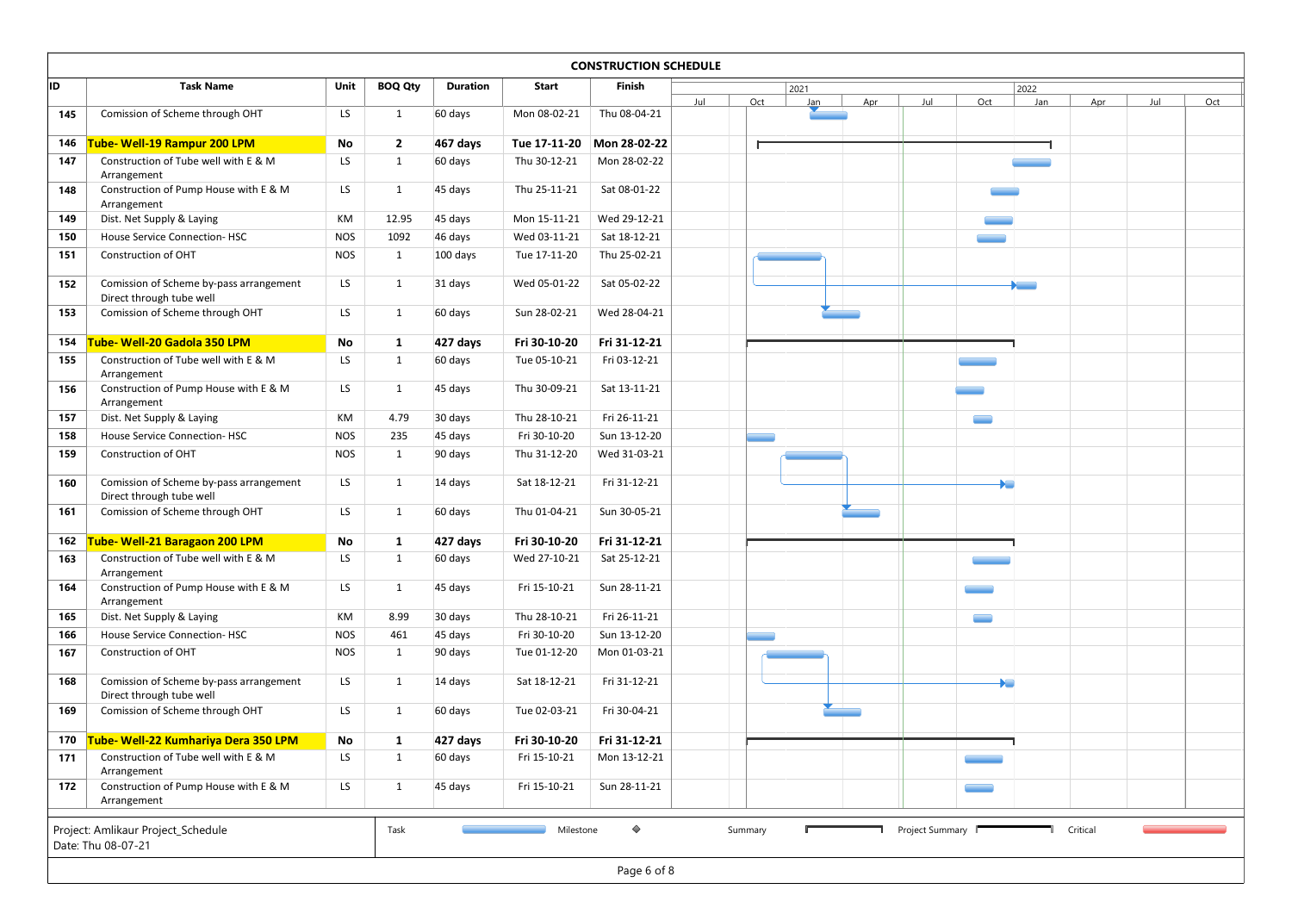|     |                                                                                  |                     |                   |                     |                              | <b>CONSTRUCTION SCHEDULE</b> |     |     |      |     |     |     |                                      |     |     |     |
|-----|----------------------------------------------------------------------------------|---------------------|-------------------|---------------------|------------------------------|------------------------------|-----|-----|------|-----|-----|-----|--------------------------------------|-----|-----|-----|
| ID  | <b>Task Name</b>                                                                 | Unit                | <b>BOQ Qty</b>    | <b>Duration</b>     | <b>Start</b>                 | Finish                       |     |     | 2021 |     |     |     | 2022                                 |     |     |     |
| 145 | Comission of Scheme through OHT                                                  | LS                  | 1                 | 60 days             | Mon 08-02-21                 | Thu 08-04-21                 | Jul | Oct | Jan  | Apr | Jul | Oct | Jan                                  | Apr | Jul | Oct |
| 146 | Tube- Well-19 Rampur 200 LPM                                                     | No                  | $\overline{2}$    | 467 days            | Tue 17-11-20                 | Mon 28-02-22                 |     |     |      |     |     |     |                                      |     |     |     |
| 147 | Construction of Tube well with E & M                                             | LS                  | 1                 | 60 days             | Thu 30-12-21                 | Mon 28-02-22                 |     |     |      |     |     |     |                                      |     |     |     |
| 148 | Arrangement<br>Construction of Pump House with E & M                             | LS                  | 1                 | 45 days             | Thu 25-11-21                 | Sat 08-01-22                 |     |     |      |     |     |     |                                      |     |     |     |
| 149 | Arrangement<br>Dist. Net Supply & Laying                                         | KM                  | 12.95             | 45 days             | Mon 15-11-21                 | Wed 29-12-21                 |     |     |      |     |     |     |                                      |     |     |     |
| 150 | House Service Connection-HSC                                                     | <b>NOS</b>          | 1092              | 46 days             | Wed 03-11-21                 | Sat 18-12-21                 |     |     |      |     |     |     |                                      |     |     |     |
| 151 | Construction of OHT                                                              | <b>NOS</b>          | 1                 | 100 days            | Tue 17-11-20                 | Thu 25-02-21                 |     |     |      |     |     |     |                                      |     |     |     |
| 152 | Comission of Scheme by-pass arrangement                                          | LS                  | 1                 | 31 days             | Wed 05-01-22                 | Sat 05-02-22                 |     |     |      |     |     |     | <b>Service</b>                       |     |     |     |
| 153 | Direct through tube well<br>Comission of Scheme through OHT                      | LS                  | 1                 | 60 days             | Sun 28-02-21                 | Wed 28-04-21                 |     |     |      |     |     |     |                                      |     |     |     |
| 154 | Tube- Well-20 Gadola 350 LPM                                                     | No                  | 1                 | 427 days            | Fri 30-10-20                 | Fri 31-12-21                 |     |     |      |     |     |     |                                      |     |     |     |
| 155 | Construction of Tube well with E & M                                             | LS                  | 1                 | 60 days             | Tue 05-10-21                 | Fri 03-12-21                 |     |     |      |     |     |     |                                      |     |     |     |
| 156 | Arrangement<br>Construction of Pump House with E & M<br>Arrangement              | LS                  | 1                 | 45 days             | Thu 30-09-21                 | Sat 13-11-21                 |     |     |      |     |     |     |                                      |     |     |     |
| 157 | Dist. Net Supply & Laying                                                        | KM                  | 4.79              | 30 days             | Thu 28-10-21                 | Fri 26-11-21                 |     |     |      |     |     |     |                                      |     |     |     |
| 158 | House Service Connection-HSC                                                     | <b>NOS</b>          | 235               | 45 days             | Fri 30-10-20                 | Sun 13-12-20                 |     |     |      |     |     |     |                                      |     |     |     |
| 159 | Construction of OHT                                                              | <b>NOS</b>          | 1                 | 90 days             | Thu 31-12-20                 | Wed 31-03-21                 |     |     |      |     |     |     |                                      |     |     |     |
| 160 | Comission of Scheme by-pass arrangement<br>Direct through tube well              | LS                  | 1                 | 14 days             | Sat 18-12-21                 | Fri 31-12-21                 |     |     |      |     |     |     | <b>XIII</b>                          |     |     |     |
| 161 | Comission of Scheme through OHT                                                  | LS                  | 1                 | 60 days             | Thu 01-04-21                 | Sun 30-05-21                 |     |     |      |     |     |     |                                      |     |     |     |
| 162 | <b>Tube- Well-21 Baragaon 200 LPM</b>                                            | $\mathsf{No}$       | $\mathbf{1}$      | 427 days            | Fri 30-10-20                 | Fri 31-12-21                 |     |     |      |     |     |     |                                      |     |     |     |
| 163 | Construction of Tube well with E & M<br>Arrangement                              | LS                  | $\mathbf{1}$      | 60 days             | Wed 27-10-21                 | Sat 25-12-21                 |     |     |      |     |     |     |                                      |     |     |     |
| 164 | Construction of Pump House with E & M<br>Arrangement                             | LS                  | 1                 | 45 days             | Fri 15-10-21                 | Sun 28-11-21                 |     |     |      |     |     |     |                                      |     |     |     |
| 165 | Dist. Net Supply & Laying                                                        | KM                  | 8.99              | 30 days             | Thu 28-10-21                 | Fri 26-11-21                 |     |     |      |     |     |     |                                      |     |     |     |
| 166 | House Service Connection-HSC                                                     | <b>NOS</b>          | 461               | 45 days             | Fri 30-10-20                 | Sun 13-12-20                 |     |     |      |     |     |     |                                      |     |     |     |
| 167 | Construction of OHT                                                              | <b>NOS</b>          | 1                 | 90 days             | Tue 01-12-20                 | Mon 01-03-21                 |     |     |      |     |     |     |                                      |     |     |     |
| 168 | Comission of Scheme by-pass arrangement<br>Direct through tube well              | LS                  | $\mathbf{1}$      | 14 days             | Sat 18-12-21                 | Fri 31-12-21                 |     |     |      |     |     |     | $\blacktriangleright$ $\blacksquare$ |     |     |     |
| 169 | Comission of Scheme through OHT                                                  | LS                  | $\mathbf{1}$      | 60 days             | Tue 02-03-21                 | Fri 30-04-21                 |     |     |      |     |     |     |                                      |     |     |     |
| 171 | 170 Tube- Well-22 Kumhariya Dera 350 LPM<br>Construction of Tube well with E & M | $\mathsf{No}$<br>LS | 1<br>$\mathbf{1}$ | 427 days<br>60 days | Fri 30-10-20<br>Fri 15-10-21 | Fri 31-12-21<br>Mon 13-12-21 |     |     |      |     |     |     |                                      |     |     |     |
| 172 | Arrangement<br>Construction of Pump House with E & M                             | LS                  | 1                 | 45 days             | Fri 15-10-21                 | Sun 28-11-21                 |     |     |      |     |     |     |                                      |     |     |     |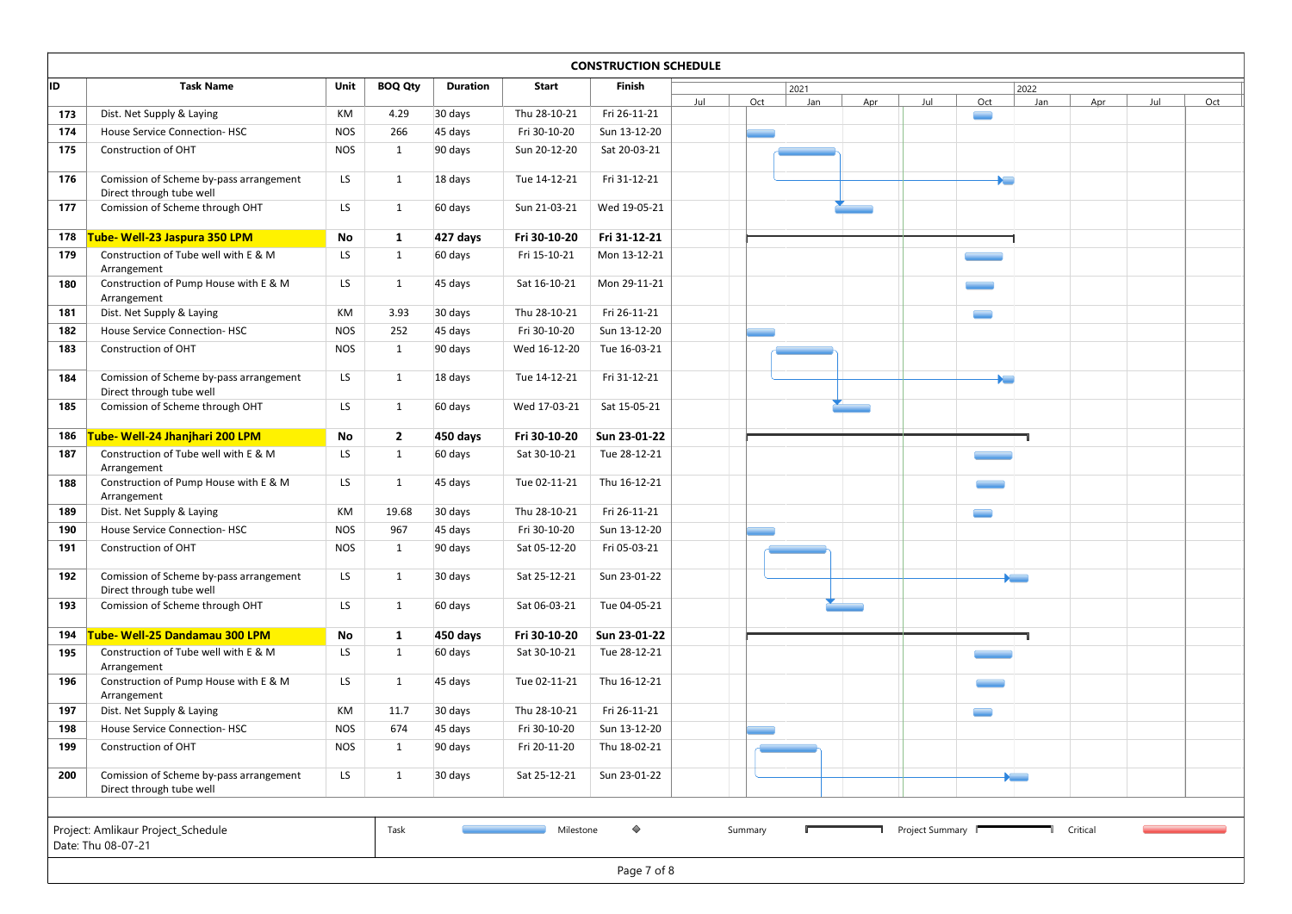| <b>Task Name</b>                        | Unit                                                                                                                                                                                                                                                                                                                                                                                                                                                                                                                                                                                                                                                                                     | <b>BOQ Qty</b>                                                                       | Duration                                                                                | Start                                                                                                                                         | Finish                                                                                                                                                                                       |                                                                                                                                                                              |                                                     | 2021 |     |     |     |     |                                                                                                                                                             |     |     |
|-----------------------------------------|------------------------------------------------------------------------------------------------------------------------------------------------------------------------------------------------------------------------------------------------------------------------------------------------------------------------------------------------------------------------------------------------------------------------------------------------------------------------------------------------------------------------------------------------------------------------------------------------------------------------------------------------------------------------------------------|--------------------------------------------------------------------------------------|-----------------------------------------------------------------------------------------|-----------------------------------------------------------------------------------------------------------------------------------------------|----------------------------------------------------------------------------------------------------------------------------------------------------------------------------------------------|------------------------------------------------------------------------------------------------------------------------------------------------------------------------------|-----------------------------------------------------|------|-----|-----|-----|-----|-------------------------------------------------------------------------------------------------------------------------------------------------------------|-----|-----|
| Dist. Net Supply & Laying               | KM                                                                                                                                                                                                                                                                                                                                                                                                                                                                                                                                                                                                                                                                                       | 4.29                                                                                 | 30 days                                                                                 | Thu 28-10-21                                                                                                                                  | Fri 26-11-21                                                                                                                                                                                 |                                                                                                                                                                              |                                                     |      |     |     |     |     |                                                                                                                                                             |     | Oct |
| House Service Connection-HSC            | <b>NOS</b>                                                                                                                                                                                                                                                                                                                                                                                                                                                                                                                                                                                                                                                                               | 266                                                                                  |                                                                                         | Fri 30-10-20                                                                                                                                  | Sun 13-12-20                                                                                                                                                                                 |                                                                                                                                                                              |                                                     |      |     |     |     |     |                                                                                                                                                             |     |     |
| Construction of OHT                     | <b>NOS</b>                                                                                                                                                                                                                                                                                                                                                                                                                                                                                                                                                                                                                                                                               | 1                                                                                    | 90 days                                                                                 | Sun 20-12-20                                                                                                                                  | Sat 20-03-21                                                                                                                                                                                 |                                                                                                                                                                              |                                                     |      |     |     |     |     |                                                                                                                                                             |     |     |
|                                         |                                                                                                                                                                                                                                                                                                                                                                                                                                                                                                                                                                                                                                                                                          |                                                                                      |                                                                                         |                                                                                                                                               |                                                                                                                                                                                              |                                                                                                                                                                              |                                                     |      |     |     |     |     |                                                                                                                                                             |     |     |
|                                         |                                                                                                                                                                                                                                                                                                                                                                                                                                                                                                                                                                                                                                                                                          |                                                                                      |                                                                                         |                                                                                                                                               |                                                                                                                                                                                              |                                                                                                                                                                              |                                                     |      |     |     |     |     |                                                                                                                                                             |     |     |
| Comission of Scheme through OHT         | LS                                                                                                                                                                                                                                                                                                                                                                                                                                                                                                                                                                                                                                                                                       | 1                                                                                    | 60 days                                                                                 | Sun 21-03-21                                                                                                                                  | Wed 19-05-21                                                                                                                                                                                 |                                                                                                                                                                              |                                                     |      |     |     |     |     |                                                                                                                                                             |     |     |
|                                         |                                                                                                                                                                                                                                                                                                                                                                                                                                                                                                                                                                                                                                                                                          |                                                                                      |                                                                                         |                                                                                                                                               |                                                                                                                                                                                              |                                                                                                                                                                              |                                                     |      |     |     |     |     |                                                                                                                                                             |     |     |
|                                         |                                                                                                                                                                                                                                                                                                                                                                                                                                                                                                                                                                                                                                                                                          |                                                                                      |                                                                                         |                                                                                                                                               |                                                                                                                                                                                              |                                                                                                                                                                              |                                                     |      |     |     |     |     |                                                                                                                                                             |     |     |
|                                         |                                                                                                                                                                                                                                                                                                                                                                                                                                                                                                                                                                                                                                                                                          |                                                                                      |                                                                                         |                                                                                                                                               |                                                                                                                                                                                              |                                                                                                                                                                              |                                                     |      |     |     |     |     |                                                                                                                                                             |     |     |
| Construction of Pump House with E & M   | LS                                                                                                                                                                                                                                                                                                                                                                                                                                                                                                                                                                                                                                                                                       | 1                                                                                    | 45 days                                                                                 | Sat 16-10-21                                                                                                                                  | Mon 29-11-21                                                                                                                                                                                 |                                                                                                                                                                              |                                                     |      |     |     |     |     |                                                                                                                                                             |     |     |
| Arrangement                             |                                                                                                                                                                                                                                                                                                                                                                                                                                                                                                                                                                                                                                                                                          |                                                                                      |                                                                                         |                                                                                                                                               |                                                                                                                                                                                              |                                                                                                                                                                              |                                                     |      |     |     |     |     |                                                                                                                                                             |     |     |
|                                         |                                                                                                                                                                                                                                                                                                                                                                                                                                                                                                                                                                                                                                                                                          |                                                                                      |                                                                                         |                                                                                                                                               |                                                                                                                                                                                              |                                                                                                                                                                              |                                                     |      |     |     |     |     |                                                                                                                                                             |     |     |
|                                         |                                                                                                                                                                                                                                                                                                                                                                                                                                                                                                                                                                                                                                                                                          |                                                                                      |                                                                                         |                                                                                                                                               |                                                                                                                                                                                              |                                                                                                                                                                              |                                                     |      |     |     |     |     |                                                                                                                                                             |     |     |
|                                         |                                                                                                                                                                                                                                                                                                                                                                                                                                                                                                                                                                                                                                                                                          |                                                                                      |                                                                                         |                                                                                                                                               |                                                                                                                                                                                              |                                                                                                                                                                              |                                                     |      |     |     |     |     |                                                                                                                                                             |     |     |
| Comission of Scheme by-pass arrangement | LS                                                                                                                                                                                                                                                                                                                                                                                                                                                                                                                                                                                                                                                                                       | $\mathbf{1}$                                                                         | 18 days                                                                                 | Tue 14-12-21                                                                                                                                  | Fri 31-12-21                                                                                                                                                                                 |                                                                                                                                                                              |                                                     |      |     |     |     |     |                                                                                                                                                             |     |     |
|                                         |                                                                                                                                                                                                                                                                                                                                                                                                                                                                                                                                                                                                                                                                                          |                                                                                      |                                                                                         |                                                                                                                                               |                                                                                                                                                                                              |                                                                                                                                                                              |                                                     |      |     |     |     |     |                                                                                                                                                             |     |     |
|                                         |                                                                                                                                                                                                                                                                                                                                                                                                                                                                                                                                                                                                                                                                                          |                                                                                      |                                                                                         |                                                                                                                                               |                                                                                                                                                                                              |                                                                                                                                                                              |                                                     |      |     |     |     |     |                                                                                                                                                             |     |     |
|                                         | No                                                                                                                                                                                                                                                                                                                                                                                                                                                                                                                                                                                                                                                                                       | $\overline{2}$                                                                       | 450 days                                                                                | Fri 30-10-20                                                                                                                                  | Sun 23-01-22                                                                                                                                                                                 |                                                                                                                                                                              |                                                     |      |     |     |     |     |                                                                                                                                                             |     |     |
| Construction of Tube well with E & M    | LS                                                                                                                                                                                                                                                                                                                                                                                                                                                                                                                                                                                                                                                                                       | $\mathbf{1}$                                                                         | 60 days                                                                                 | Sat 30-10-21                                                                                                                                  | Tue 28-12-21                                                                                                                                                                                 |                                                                                                                                                                              |                                                     |      |     |     | --- |     |                                                                                                                                                             |     |     |
|                                         |                                                                                                                                                                                                                                                                                                                                                                                                                                                                                                                                                                                                                                                                                          |                                                                                      |                                                                                         |                                                                                                                                               |                                                                                                                                                                                              |                                                                                                                                                                              |                                                     |      |     |     |     |     |                                                                                                                                                             |     |     |
| Arrangement                             |                                                                                                                                                                                                                                                                                                                                                                                                                                                                                                                                                                                                                                                                                          |                                                                                      |                                                                                         |                                                                                                                                               |                                                                                                                                                                                              |                                                                                                                                                                              |                                                     |      |     |     |     |     |                                                                                                                                                             |     |     |
| Dist. Net Supply & Laying               | KM                                                                                                                                                                                                                                                                                                                                                                                                                                                                                                                                                                                                                                                                                       | 19.68                                                                                | 30 days                                                                                 | Thu 28-10-21                                                                                                                                  | Fri 26-11-21                                                                                                                                                                                 |                                                                                                                                                                              |                                                     |      |     |     |     |     |                                                                                                                                                             |     |     |
| House Service Connection-HSC            | <b>NOS</b>                                                                                                                                                                                                                                                                                                                                                                                                                                                                                                                                                                                                                                                                               | 967                                                                                  | 45 days                                                                                 | Fri 30-10-20                                                                                                                                  | Sun 13-12-20                                                                                                                                                                                 |                                                                                                                                                                              |                                                     |      |     |     |     |     |                                                                                                                                                             |     |     |
| Construction of OHT                     | <b>NOS</b>                                                                                                                                                                                                                                                                                                                                                                                                                                                                                                                                                                                                                                                                               | 1                                                                                    | 90 days                                                                                 | Sat 05-12-20                                                                                                                                  | Fri 05-03-21                                                                                                                                                                                 |                                                                                                                                                                              |                                                     |      |     |     |     |     |                                                                                                                                                             |     |     |
|                                         |                                                                                                                                                                                                                                                                                                                                                                                                                                                                                                                                                                                                                                                                                          | $\mathbf{1}$                                                                         |                                                                                         |                                                                                                                                               |                                                                                                                                                                                              |                                                                                                                                                                              |                                                     |      |     |     |     |     |                                                                                                                                                             |     |     |
| Direct through tube well                |                                                                                                                                                                                                                                                                                                                                                                                                                                                                                                                                                                                                                                                                                          |                                                                                      |                                                                                         |                                                                                                                                               |                                                                                                                                                                                              |                                                                                                                                                                              |                                                     |      |     |     |     |     |                                                                                                                                                             |     |     |
| Comission of Scheme through OHT         | LS                                                                                                                                                                                                                                                                                                                                                                                                                                                                                                                                                                                                                                                                                       | $\mathbf{1}$                                                                         | 60 days                                                                                 | Sat 06-03-21                                                                                                                                  | Tue 04-05-21                                                                                                                                                                                 |                                                                                                                                                                              |                                                     |      |     |     |     |     |                                                                                                                                                             |     |     |
|                                         |                                                                                                                                                                                                                                                                                                                                                                                                                                                                                                                                                                                                                                                                                          |                                                                                      |                                                                                         |                                                                                                                                               |                                                                                                                                                                                              |                                                                                                                                                                              |                                                     |      |     |     |     |     |                                                                                                                                                             |     |     |
| Construction of Tube well with E & M    | LS                                                                                                                                                                                                                                                                                                                                                                                                                                                                                                                                                                                                                                                                                       | 1                                                                                    | 60 days                                                                                 | Sat 30-10-21                                                                                                                                  | Tue 28-12-21                                                                                                                                                                                 |                                                                                                                                                                              |                                                     |      |     |     |     |     |                                                                                                                                                             |     |     |
| Arrangement                             |                                                                                                                                                                                                                                                                                                                                                                                                                                                                                                                                                                                                                                                                                          |                                                                                      |                                                                                         |                                                                                                                                               |                                                                                                                                                                                              |                                                                                                                                                                              |                                                     |      |     |     |     |     |                                                                                                                                                             |     |     |
|                                         |                                                                                                                                                                                                                                                                                                                                                                                                                                                                                                                                                                                                                                                                                          | 1                                                                                    |                                                                                         |                                                                                                                                               |                                                                                                                                                                                              |                                                                                                                                                                              |                                                     |      |     |     |     |     |                                                                                                                                                             |     |     |
|                                         | KM                                                                                                                                                                                                                                                                                                                                                                                                                                                                                                                                                                                                                                                                                       | 11.7                                                                                 | 30 days                                                                                 | Thu 28-10-21                                                                                                                                  | Fri 26-11-21                                                                                                                                                                                 |                                                                                                                                                                              |                                                     |      |     |     |     |     |                                                                                                                                                             |     |     |
| House Service Connection-HSC            | <b>NOS</b>                                                                                                                                                                                                                                                                                                                                                                                                                                                                                                                                                                                                                                                                               | 674                                                                                  | 45 days                                                                                 | Fri 30-10-20                                                                                                                                  | Sun 13-12-20                                                                                                                                                                                 |                                                                                                                                                                              |                                                     |      |     |     |     |     |                                                                                                                                                             |     |     |
| Construction of OHT                     | <b>NOS</b>                                                                                                                                                                                                                                                                                                                                                                                                                                                                                                                                                                                                                                                                               | 1                                                                                    | 90 days                                                                                 | Fri 20-11-20                                                                                                                                  | Thu 18-02-21                                                                                                                                                                                 |                                                                                                                                                                              |                                                     |      |     |     |     |     |                                                                                                                                                             |     |     |
|                                         |                                                                                                                                                                                                                                                                                                                                                                                                                                                                                                                                                                                                                                                                                          |                                                                                      |                                                                                         |                                                                                                                                               |                                                                                                                                                                                              |                                                                                                                                                                              |                                                     |      |     |     |     |     |                                                                                                                                                             |     |     |
|                                         |                                                                                                                                                                                                                                                                                                                                                                                                                                                                                                                                                                                                                                                                                          | $\mathbf{1}$                                                                         |                                                                                         |                                                                                                                                               |                                                                                                                                                                                              |                                                                                                                                                                              |                                                     |      |     |     |     |     |                                                                                                                                                             |     |     |
|                                         |                                                                                                                                                                                                                                                                                                                                                                                                                                                                                                                                                                                                                                                                                          |                                                                                      |                                                                                         |                                                                                                                                               |                                                                                                                                                                                              |                                                                                                                                                                              |                                                     |      |     |     |     |     |                                                                                                                                                             |     |     |
|                                         | Comission of Scheme by-pass arrangement<br>Direct through tube well<br>Tube- Well-23 Jaspura 350 LPM<br>Construction of Tube well with E & M<br>Arrangement<br>Dist. Net Supply & Laying<br>House Service Connection-HSC<br>Construction of OHT<br>Direct through tube well<br>Comission of Scheme through OHT<br>Tube- Well-24 Jhanjhari 200 LPM<br>Arrangement<br>Construction of Pump House with E & M<br>Comission of Scheme by-pass arrangement<br>Tube- Well-25 Dandamau 300 LPM<br>Construction of Pump House with E & M<br>Arrangement<br>Dist. Net Supply & Laying<br>Comission of Scheme by-pass arrangement<br>Direct through tube well<br>Project: Amlikaur Project_Schedule | LS<br>No<br>LS<br>KM<br><b>NOS</b><br><b>NOS</b><br>LS<br>LS<br>LS<br>No<br>LS<br>LS | 1<br>1<br>$\mathbf{1}$<br>3.93<br>252<br>1<br>$\mathbf{1}$<br>1<br>$\mathbf{1}$<br>Task | 45 days<br>18 days<br>427 days<br>60 days<br>30 days<br>45 days<br>90 days<br>60 days<br>45 days<br>30 days<br>450 days<br>45 days<br>30 days | Tue 14-12-21<br>Fri 30-10-20<br>Fri 15-10-21<br>Thu 28-10-21<br>Fri 30-10-20<br>Wed 16-12-20<br>Wed 17-03-21<br>Tue 02-11-21<br>Sat 25-12-21<br>Fri 30-10-20<br>Tue 02-11-21<br>Sat 25-12-21 | Fri 31-12-21<br>Fri 31-12-21<br>Mon 13-12-21<br>Fri 26-11-21<br>Sun 13-12-20<br>Tue 16-03-21<br>Sat 15-05-21<br>Thu 16-12-21<br>Sun 23-01-22<br>Thu 16-12-21<br>Sun 23-01-22 | <b>CONSTRUCTION SCHEDULE</b><br>Jul<br>Sun 23-01-22 | Oct  | Jan | Apr | Jul | Oct | 2022<br>Jan<br>$\blacktriangleright$ $\blacksquare$<br>$\overline{\phantom{a}}$<br>$\blacktriangleright$<br>$\blacktriangleright$ and $\blacktriangleright$ | Apr | Jul |